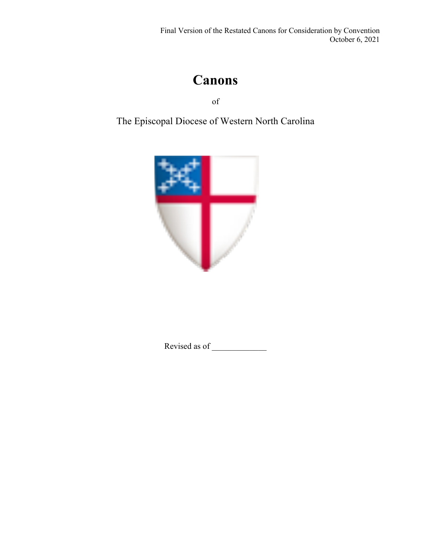# **Canons**

of

The Episcopal Diocese of Western North Carolina



Revised as of \_\_\_\_\_\_\_\_\_\_\_\_\_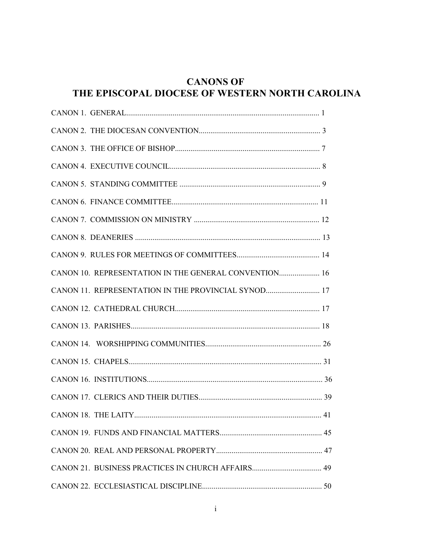#### **CANONS OF** THE EPISCOPAL DIOCESE OF WESTERN NORTH CAROLINA

| CANON 10. REPRESENTATION IN THE GENERAL CONVENTION 16 |  |
|-------------------------------------------------------|--|
| CANON 11. REPRESENTATION IN THE PROVINCIAL SYNOD 17   |  |
|                                                       |  |
|                                                       |  |
|                                                       |  |
|                                                       |  |
|                                                       |  |
|                                                       |  |
|                                                       |  |
|                                                       |  |
|                                                       |  |
|                                                       |  |
|                                                       |  |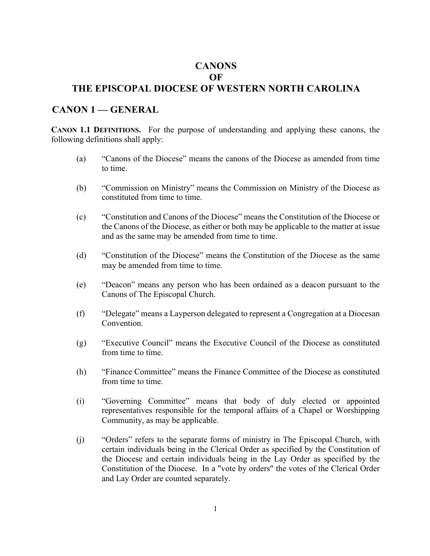#### **CANONS OF**

#### **THE EPISCOPAL DIOCESE OF WESTERN NORTH CAROLINA**

#### **CANON 1 — GENERAL**

**CANON 1.1 DEFINITIONS.** For the purpose of understanding and applying these canons, the following definitions shall apply:

- (a) "Canons of the Diocese" means the canons of the Diocese as amended from time to time.
- (b) "Commission on Ministry" means the Commission on Ministry of the Diocese as constituted from time to time.
- (c) "Constitution and Canons of the Diocese" means the Constitution of the Diocese or the Canons of the Diocese, as either or both may be applicable to the matter at issue and as the same may be amended from time to time.
- (d) "Constitution of the Diocese" means the Constitution of the Diocese as the same may be amended from time to time.
- (e) "Deacon" means any person who has been ordained as a deacon pursuant to the Canons of The Episcopal Church.
- (f) "Delegate" means a Layperson delegated to represent a Congregation at a Diocesan Convention.
- (g) "Executive Council" means the Executive Council of the Diocese as constituted from time to time.
- (h) "Finance Committee" means the Finance Committee of the Diocese as constituted from time to time.
- (i) "Governing Committee" means that body of duly elected or appointed representatives responsible for the temporal affairs of a Chapel or Worshipping Community, as may be applicable.
- (j) "Orders" refers to the separate forms of ministry in The Episcopal Church, with certain individuals being in the Clerical Order as specified by the Constitution of the Diocese and certain individuals being in the Lay Order as specified by the Constitution of the Diocese. In a "vote by orders" the votes of the Clerical Order and Lay Order are counted separately.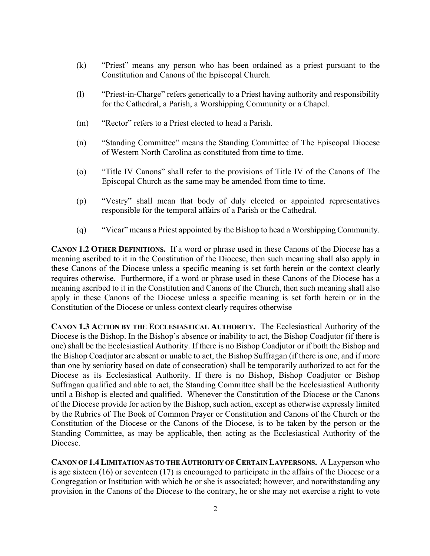- (k) "Priest" means any person who has been ordained as a priest pursuant to the Constitution and Canons of the Episcopal Church.
- (l) "Priest-in-Charge" refers generically to a Priest having authority and responsibility for the Cathedral, a Parish, a Worshipping Community or a Chapel.
- (m) "Rector" refers to a Priest elected to head a Parish.
- (n) "Standing Committee" means the Standing Committee of The Episcopal Diocese of Western North Carolina as constituted from time to time.
- (o) "Title IV Canons" shall refer to the provisions of Title IV of the Canons of The Episcopal Church as the same may be amended from time to time.
- (p) "Vestry" shall mean that body of duly elected or appointed representatives responsible for the temporal affairs of a Parish or the Cathedral.
- (q) "Vicar" means a Priest appointed by the Bishop to head a Worshipping Community.

**CANON 1.2 OTHER DEFINITIONS.** If a word or phrase used in these Canons of the Diocese has a meaning ascribed to it in the Constitution of the Diocese, then such meaning shall also apply in these Canons of the Diocese unless a specific meaning is set forth herein or the context clearly requires otherwise. Furthermore, if a word or phrase used in these Canons of the Diocese has a meaning ascribed to it in the Constitution and Canons of the Church, then such meaning shall also apply in these Canons of the Diocese unless a specific meaning is set forth herein or in the Constitution of the Diocese or unless context clearly requires otherwise

**CANON 1.3 ACTION BY THE ECCLESIASTICAL AUTHORITY.** The Ecclesiastical Authority of the Diocese is the Bishop. In the Bishop's absence or inability to act, the Bishop Coadjutor (if there is one) shall be the Ecclesiastical Authority. If there is no Bishop Coadjutor or if both the Bishop and the Bishop Coadjutor are absent or unable to act, the Bishop Suffragan (if there is one, and if more than one by seniority based on date of consecration) shall be temporarily authorized to act for the Diocese as its Ecclesiastical Authority. If there is no Bishop, Bishop Coadjutor or Bishop Suffragan qualified and able to act, the Standing Committee shall be the Ecclesiastical Authority until a Bishop is elected and qualified. Whenever the Constitution of the Diocese or the Canons of the Diocese provide for action by the Bishop, such action, except as otherwise expressly limited by the Rubrics of The Book of Common Prayer or Constitution and Canons of the Church or the Constitution of the Diocese or the Canons of the Diocese, is to be taken by the person or the Standing Committee, as may be applicable, then acting as the Ecclesiastical Authority of the Diocese.

**CANON OF 1.4LIMITATION AS TO THE AUTHORITY OF CERTAIN LAYPERSONS.** A Layperson who is age sixteen (16) or seventeen (17) is encouraged to participate in the affairs of the Diocese or a Congregation or Institution with which he or she is associated; however, and notwithstanding any provision in the Canons of the Diocese to the contrary, he or she may not exercise a right to vote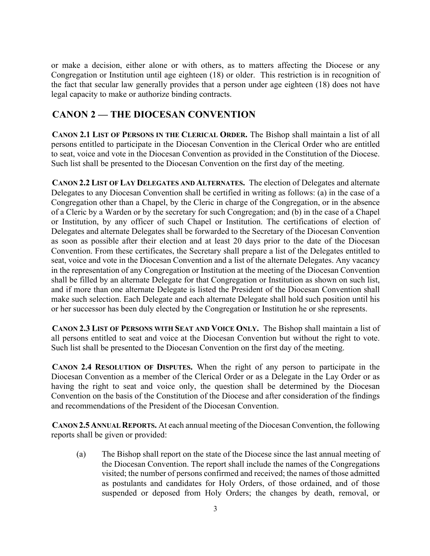or make a decision, either alone or with others, as to matters affecting the Diocese or any Congregation or Institution until age eighteen (18) or older. This restriction is in recognition of the fact that secular law generally provides that a person under age eighteen (18) does not have legal capacity to make or authorize binding contracts.

### **CANON 2 — THE DIOCESAN CONVENTION**

**CANON 2.1 LIST OF PERSONS IN THE CLERICAL ORDER.** The Bishop shall maintain a list of all persons entitled to participate in the Diocesan Convention in the Clerical Order who are entitled to seat, voice and vote in the Diocesan Convention as provided in the Constitution of the Diocese. Such list shall be presented to the Diocesan Convention on the first day of the meeting.

**CANON 2.2 LIST OF LAY DELEGATES AND ALTERNATES.** The election of Delegates and alternate Delegates to any Diocesan Convention shall be certified in writing as follows: (a) in the case of a Congregation other than a Chapel, by the Cleric in charge of the Congregation, or in the absence of a Cleric by a Warden or by the secretary for such Congregation; and (b) in the case of a Chapel or Institution, by any officer of such Chapel or Institution. The certifications of election of Delegates and alternate Delegates shall be forwarded to the Secretary of the Diocesan Convention as soon as possible after their election and at least 20 days prior to the date of the Diocesan Convention. From these certificates, the Secretary shall prepare a list of the Delegates entitled to seat, voice and vote in the Diocesan Convention and a list of the alternate Delegates. Any vacancy in the representation of any Congregation or Institution at the meeting of the Diocesan Convention shall be filled by an alternate Delegate for that Congregation or Institution as shown on such list, and if more than one alternate Delegate is listed the President of the Diocesan Convention shall make such selection. Each Delegate and each alternate Delegate shall hold such position until his or her successor has been duly elected by the Congregation or Institution he or she represents.

**CANON 2.3 LIST OF PERSONS WITH SEAT AND VOICE ONLY.** The Bishop shall maintain a list of all persons entitled to seat and voice at the Diocesan Convention but without the right to vote. Such list shall be presented to the Diocesan Convention on the first day of the meeting.

**CANON 2.4 RESOLUTION OF DISPUTES.** When the right of any person to participate in the Diocesan Convention as a member of the Clerical Order or as a Delegate in the Lay Order or as having the right to seat and voice only, the question shall be determined by the Diocesan Convention on the basis of the Constitution of the Diocese and after consideration of the findings and recommendations of the President of the Diocesan Convention.

**CANON 2.5 ANNUAL REPORTS.** At each annual meeting of the Diocesan Convention, the following reports shall be given or provided:

(a) The Bishop shall report on the state of the Diocese since the last annual meeting of the Diocesan Convention. The report shall include the names of the Congregations visited; the number of persons confirmed and received; the names of those admitted as postulants and candidates for Holy Orders, of those ordained, and of those suspended or deposed from Holy Orders; the changes by death, removal, or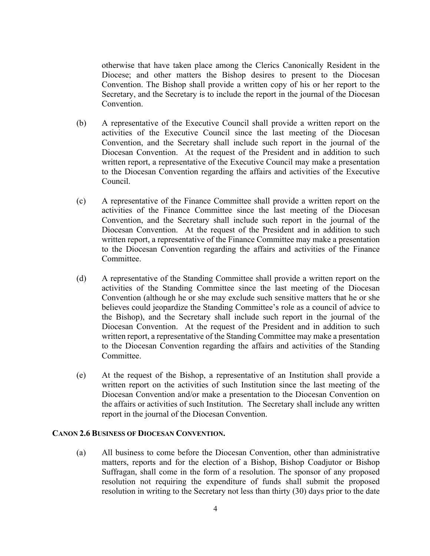otherwise that have taken place among the Clerics Canonically Resident in the Diocese; and other matters the Bishop desires to present to the Diocesan Convention. The Bishop shall provide a written copy of his or her report to the Secretary, and the Secretary is to include the report in the journal of the Diocesan Convention.

- (b) A representative of the Executive Council shall provide a written report on the activities of the Executive Council since the last meeting of the Diocesan Convention, and the Secretary shall include such report in the journal of the Diocesan Convention. At the request of the President and in addition to such written report, a representative of the Executive Council may make a presentation to the Diocesan Convention regarding the affairs and activities of the Executive Council.
- (c) A representative of the Finance Committee shall provide a written report on the activities of the Finance Committee since the last meeting of the Diocesan Convention, and the Secretary shall include such report in the journal of the Diocesan Convention. At the request of the President and in addition to such written report, a representative of the Finance Committee may make a presentation to the Diocesan Convention regarding the affairs and activities of the Finance Committee.
- (d) A representative of the Standing Committee shall provide a written report on the activities of the Standing Committee since the last meeting of the Diocesan Convention (although he or she may exclude such sensitive matters that he or she believes could jeopardize the Standing Committee's role as a council of advice to the Bishop), and the Secretary shall include such report in the journal of the Diocesan Convention. At the request of the President and in addition to such written report, a representative of the Standing Committee may make a presentation to the Diocesan Convention regarding the affairs and activities of the Standing Committee.
- (e) At the request of the Bishop, a representative of an Institution shall provide a written report on the activities of such Institution since the last meeting of the Diocesan Convention and/or make a presentation to the Diocesan Convention on the affairs or activities of such Institution. The Secretary shall include any written report in the journal of the Diocesan Convention.

#### **CANON 2.6 BUSINESS OF DIOCESAN CONVENTION.**

(a) All business to come before the Diocesan Convention, other than administrative matters, reports and for the election of a Bishop, Bishop Coadjutor or Bishop Suffragan, shall come in the form of a resolution. The sponsor of any proposed resolution not requiring the expenditure of funds shall submit the proposed resolution in writing to the Secretary not less than thirty (30) days prior to the date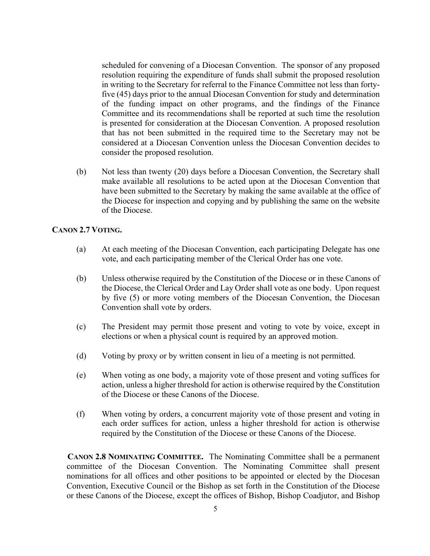scheduled for convening of a Diocesan Convention. The sponsor of any proposed resolution requiring the expenditure of funds shall submit the proposed resolution in writing to the Secretary for referral to the Finance Committee not less than fortyfive (45) days prior to the annual Diocesan Convention for study and determination of the funding impact on other programs, and the findings of the Finance Committee and its recommendations shall be reported at such time the resolution is presented for consideration at the Diocesan Convention. A proposed resolution that has not been submitted in the required time to the Secretary may not be considered at a Diocesan Convention unless the Diocesan Convention decides to consider the proposed resolution.

(b) Not less than twenty (20) days before a Diocesan Convention, the Secretary shall make available all resolutions to be acted upon at the Diocesan Convention that have been submitted to the Secretary by making the same available at the office of the Diocese for inspection and copying and by publishing the same on the website of the Diocese.

#### **CANON 2.7 VOTING.**

- (a) At each meeting of the Diocesan Convention, each participating Delegate has one vote, and each participating member of the Clerical Order has one vote.
- (b) Unless otherwise required by the Constitution of the Diocese or in these Canons of the Diocese, the Clerical Order and Lay Order shall vote as one body. Upon request by five (5) or more voting members of the Diocesan Convention, the Diocesan Convention shall vote by orders.
- (c) The President may permit those present and voting to vote by voice, except in elections or when a physical count is required by an approved motion.
- (d) Voting by proxy or by written consent in lieu of a meeting is not permitted.
- (e) When voting as one body, a majority vote of those present and voting suffices for action, unless a higher threshold for action is otherwise required by the Constitution of the Diocese or these Canons of the Diocese.
- (f) When voting by orders, a concurrent majority vote of those present and voting in each order suffices for action, unless a higher threshold for action is otherwise required by the Constitution of the Diocese or these Canons of the Diocese.

**CANON 2.8 NOMINATING COMMITTEE.** The Nominating Committee shall be a permanent committee of the Diocesan Convention. The Nominating Committee shall present nominations for all offices and other positions to be appointed or elected by the Diocesan Convention, Executive Council or the Bishop as set forth in the Constitution of the Diocese or these Canons of the Diocese, except the offices of Bishop, Bishop Coadjutor, and Bishop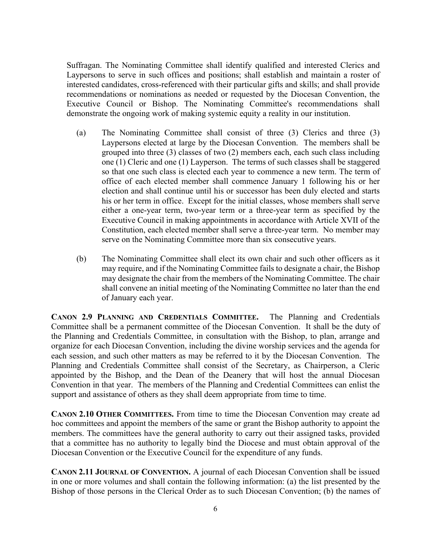Suffragan. The Nominating Committee shall identify qualified and interested Clerics and Laypersons to serve in such offices and positions; shall establish and maintain a roster of interested candidates, cross-referenced with their particular gifts and skills; and shall provide recommendations or nominations as needed or requested by the Diocesan Convention, the Executive Council or Bishop. The Nominating Committee's recommendations shall demonstrate the ongoing work of making systemic equity a reality in our institution.

- (a) The Nominating Committee shall consist of three (3) Clerics and three (3) Laypersons elected at large by the Diocesan Convention. The members shall be grouped into three (3) classes of two (2) members each, each such class including one (1) Cleric and one (1) Layperson. The terms of such classes shall be staggered so that one such class is elected each year to commence a new term. The term of office of each elected member shall commence January 1 following his or her election and shall continue until his or successor has been duly elected and starts his or her term in office. Except for the initial classes, whose members shall serve either a one-year term, two-year term or a three-year term as specified by the Executive Council in making appointments in accordance with Article XVII of the Constitution, each elected member shall serve a three-year term. No member may serve on the Nominating Committee more than six consecutive years.
- (b) The Nominating Committee shall elect its own chair and such other officers as it may require, and if the Nominating Committee fails to designate a chair, the Bishop may designate the chair from the members of the Nominating Committee. The chair shall convene an initial meeting of the Nominating Committee no later than the end of January each year.

**CANON 2.9 PLANNING AND CREDENTIALS COMMITTEE.** The Planning and Credentials Committee shall be a permanent committee of the Diocesan Convention. It shall be the duty of the Planning and Credentials Committee, in consultation with the Bishop, to plan, arrange and organize for each Diocesan Convention, including the divine worship services and the agenda for each session, and such other matters as may be referred to it by the Diocesan Convention. The Planning and Credentials Committee shall consist of the Secretary, as Chairperson, a Cleric appointed by the Bishop, and the Dean of the Deanery that will host the annual Diocesan Convention in that year. The members of the Planning and Credential Committees can enlist the support and assistance of others as they shall deem appropriate from time to time.

**CANON 2.10 OTHER COMMITTEES.** From time to time the Diocesan Convention may create ad hoc committees and appoint the members of the same or grant the Bishop authority to appoint the members. The committees have the general authority to carry out their assigned tasks, provided that a committee has no authority to legally bind the Diocese and must obtain approval of the Diocesan Convention or the Executive Council for the expenditure of any funds.

**CANON 2.11 JOURNAL OF CONVENTION.** A journal of each Diocesan Convention shall be issued in one or more volumes and shall contain the following information: (a) the list presented by the Bishop of those persons in the Clerical Order as to such Diocesan Convention; (b) the names of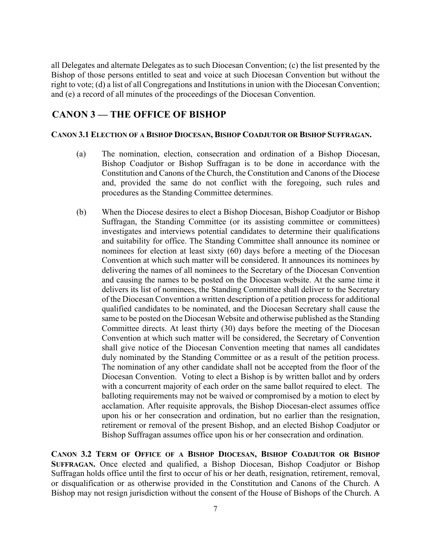all Delegates and alternate Delegates as to such Diocesan Convention; (c) the list presented by the Bishop of those persons entitled to seat and voice at such Diocesan Convention but without the right to vote; (d) a list of all Congregations and Institutions in union with the Diocesan Convention; and (e) a record of all minutes of the proceedings of the Diocesan Convention.

#### **CANON 3 — THE OFFICE OF BISHOP**

#### **CANON 3.1 ELECTION OF A BISHOP DIOCESAN, BISHOP COADJUTOR OR BISHOP SUFFRAGAN.**

- (a) The nomination, election, consecration and ordination of a Bishop Diocesan, Bishop Coadjutor or Bishop Suffragan is to be done in accordance with the Constitution and Canons of the Church, the Constitution and Canons of the Diocese and, provided the same do not conflict with the foregoing, such rules and procedures as the Standing Committee determines.
- (b) When the Diocese desires to elect a Bishop Diocesan, Bishop Coadjutor or Bishop Suffragan, the Standing Committee (or its assisting committee or committees) investigates and interviews potential candidates to determine their qualifications and suitability for office. The Standing Committee shall announce its nominee or nominees for election at least sixty (60) days before a meeting of the Diocesan Convention at which such matter will be considered. It announces its nominees by delivering the names of all nominees to the Secretary of the Diocesan Convention and causing the names to be posted on the Diocesan website. At the same time it delivers its list of nominees, the Standing Committee shall deliver to the Secretary of the Diocesan Convention a written description of a petition process for additional qualified candidates to be nominated, and the Diocesan Secretary shall cause the same to be posted on the Diocesan Website and otherwise published as the Standing Committee directs. At least thirty (30) days before the meeting of the Diocesan Convention at which such matter will be considered, the Secretary of Convention shall give notice of the Diocesan Convention meeting that names all candidates duly nominated by the Standing Committee or as a result of the petition process. The nomination of any other candidate shall not be accepted from the floor of the Diocesan Convention. Voting to elect a Bishop is by written ballot and by orders with a concurrent majority of each order on the same ballot required to elect. The balloting requirements may not be waived or compromised by a motion to elect by acclamation. After requisite approvals, the Bishop Diocesan-elect assumes office upon his or her consecration and ordination, but no earlier than the resignation, retirement or removal of the present Bishop, and an elected Bishop Coadjutor or Bishop Suffragan assumes office upon his or her consecration and ordination.

**CANON 3.2 TERM OF OFFICE OF A BISHOP DIOCESAN, BISHOP COADJUTOR OR BISHOP SUFFRAGAN.** Once elected and qualified, a Bishop Diocesan, Bishop Coadjutor or Bishop Suffragan holds office until the first to occur of his or her death, resignation, retirement, removal, or disqualification or as otherwise provided in the Constitution and Canons of the Church. A Bishop may not resign jurisdiction without the consent of the House of Bishops of the Church. A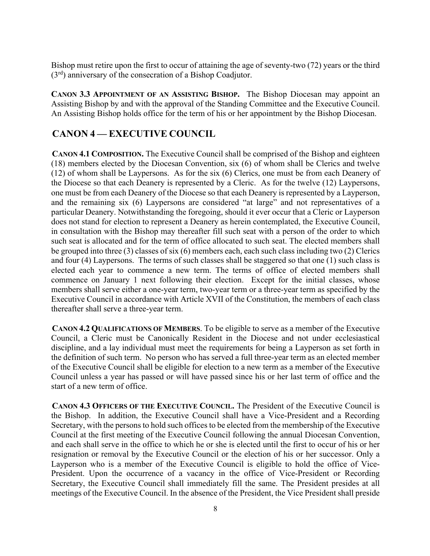Bishop must retire upon the first to occur of attaining the age of seventy-two (72) years or the third  $(3<sup>rd</sup>)$  anniversary of the consecration of a Bishop Coadjutor.

**CANON 3.3 APPOINTMENT OF AN ASSISTING BISHOP.** The Bishop Diocesan may appoint an Assisting Bishop by and with the approval of the Standing Committee and the Executive Council. An Assisting Bishop holds office for the term of his or her appointment by the Bishop Diocesan.

### **CANON 4 — EXECUTIVE COUNCIL**

**CANON 4.1 COMPOSITION.** The Executive Council shall be comprised of the Bishop and eighteen (18) members elected by the Diocesan Convention, six (6) of whom shall be Clerics and twelve (12) of whom shall be Laypersons. As for the six (6) Clerics, one must be from each Deanery of the Diocese so that each Deanery is represented by a Cleric. As for the twelve (12) Laypersons, one must be from each Deanery of the Diocese so that each Deanery is represented by a Layperson, and the remaining six (6) Laypersons are considered "at large" and not representatives of a particular Deanery. Notwithstanding the foregoing, should it ever occur that a Cleric or Layperson does not stand for election to represent a Deanery as herein contemplated, the Executive Council, in consultation with the Bishop may thereafter fill such seat with a person of the order to which such seat is allocated and for the term of office allocated to such seat. The elected members shall be grouped into three (3) classes of six (6) members each, each such class including two (2) Clerics and four (4) Laypersons. The terms of such classes shall be staggered so that one (1) such class is elected each year to commence a new term. The terms of office of elected members shall commence on January 1 next following their election. Except for the initial classes, whose members shall serve either a one-year term, two-year term or a three-year term as specified by the Executive Council in accordance with Article XVII of the Constitution, the members of each class thereafter shall serve a three-year term.

**CANON 4.2 QUALIFICATIONS OF MEMBERS**. To be eligible to serve as a member of the Executive Council, a Cleric must be Canonically Resident in the Diocese and not under ecclesiastical discipline, and a lay individual must meet the requirements for being a Layperson as set forth in the definition of such term. No person who has served a full three-year term as an elected member of the Executive Council shall be eligible for election to a new term as a member of the Executive Council unless a year has passed or will have passed since his or her last term of office and the start of a new term of office.

**CANON 4.3 OFFICERS OF THE EXECUTIVE COUNCIL.** The President of the Executive Council is the Bishop. In addition, the Executive Council shall have a Vice-President and a Recording Secretary, with the persons to hold such offices to be elected from the membership of the Executive Council at the first meeting of the Executive Council following the annual Diocesan Convention, and each shall serve in the office to which he or she is elected until the first to occur of his or her resignation or removal by the Executive Council or the election of his or her successor. Only a Layperson who is a member of the Executive Council is eligible to hold the office of Vice-President. Upon the occurrence of a vacancy in the office of Vice-President or Recording Secretary, the Executive Council shall immediately fill the same. The President presides at all meetings of the Executive Council. In the absence of the President, the Vice President shall preside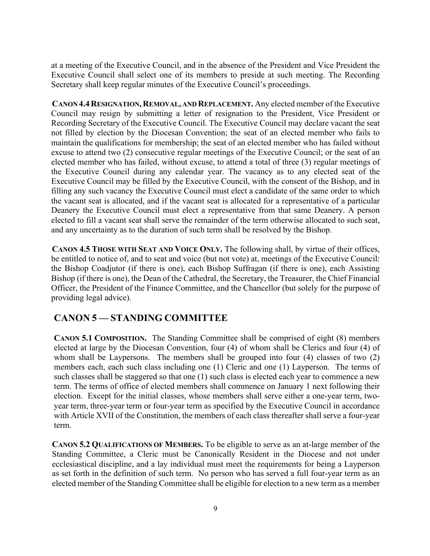at a meeting of the Executive Council, and in the absence of the President and Vice President the Executive Council shall select one of its members to preside at such meeting. The Recording Secretary shall keep regular minutes of the Executive Council's proceedings.

**CANON 4.4 RESIGNATION, REMOVAL, AND REPLACEMENT.** Any elected member of the Executive Council may resign by submitting a letter of resignation to the President, Vice President or Recording Secretary of the Executive Council. The Executive Council may declare vacant the seat not filled by election by the Diocesan Convention; the seat of an elected member who fails to maintain the qualifications for membership; the seat of an elected member who has failed without excuse to attend two (2) consecutive regular meetings of the Executive Council; or the seat of an elected member who has failed, without excuse, to attend a total of three (3) regular meetings of the Executive Council during any calendar year. The vacancy as to any elected seat of the Executive Council may be filled by the Executive Council, with the consent of the Bishop, and in filling any such vacancy the Executive Council must elect a candidate of the same order to which the vacant seat is allocated, and if the vacant seat is allocated for a representative of a particular Deanery the Executive Council must elect a representative from that same Deanery. A person elected to fill a vacant seat shall serve the remainder of the term otherwise allocated to such seat, and any uncertainty as to the duration of such term shall be resolved by the Bishop.

**CANON 4.5 THOSE WITH SEAT AND VOICE ONLY.** The following shall, by virtue of their offices, be entitled to notice of, and to seat and voice (but not vote) at, meetings of the Executive Council: the Bishop Coadjutor (if there is one), each Bishop Suffragan (if there is one), each Assisting Bishop (if there is one), the Dean of the Cathedral, the Secretary, the Treasurer, the Chief Financial Officer, the President of the Finance Committee, and the Chancellor (but solely for the purpose of providing legal advice).

### **CANON 5 — STANDING COMMITTEE**

**CANON 5.1 COMPOSITION.** The Standing Committee shall be comprised of eight (8) members elected at large by the Diocesan Convention, four (4) of whom shall be Clerics and four (4) of whom shall be Laypersons. The members shall be grouped into four (4) classes of two (2) members each, each such class including one (1) Cleric and one (1) Layperson. The terms of such classes shall be staggered so that one (1) such class is elected each year to commence a new term. The terms of office of elected members shall commence on January 1 next following their election. Except for the initial classes, whose members shall serve either a one-year term, twoyear term, three-year term or four-year term as specified by the Executive Council in accordance with Article XVII of the Constitution, the members of each class thereafter shall serve a four-year term.

**CANON 5.2 QUALIFICATIONS OF MEMBERS.** To be eligible to serve as an at-large member of the Standing Committee, a Cleric must be Canonically Resident in the Diocese and not under ecclesiastical discipline, and a lay individual must meet the requirements for being a Layperson as set forth in the definition of such term. No person who has served a full four-year term as an elected member of the Standing Committee shall be eligible for election to a new term as a member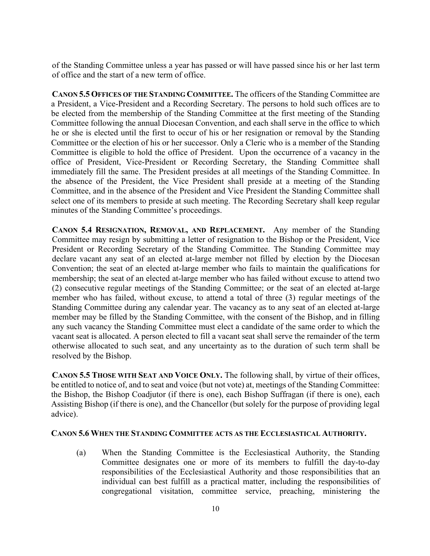of the Standing Committee unless a year has passed or will have passed since his or her last term of office and the start of a new term of office.

**CANON 5.5 OFFICES OF THE STANDING COMMITTEE.** The officers of the Standing Committee are a President, a Vice-President and a Recording Secretary. The persons to hold such offices are to be elected from the membership of the Standing Committee at the first meeting of the Standing Committee following the annual Diocesan Convention, and each shall serve in the office to which he or she is elected until the first to occur of his or her resignation or removal by the Standing Committee or the election of his or her successor. Only a Cleric who is a member of the Standing Committee is eligible to hold the office of President. Upon the occurrence of a vacancy in the office of President, Vice-President or Recording Secretary, the Standing Committee shall immediately fill the same. The President presides at all meetings of the Standing Committee. In the absence of the President, the Vice President shall preside at a meeting of the Standing Committee, and in the absence of the President and Vice President the Standing Committee shall select one of its members to preside at such meeting. The Recording Secretary shall keep regular minutes of the Standing Committee's proceedings.

**CANON 5.4 RESIGNATION, REMOVAL, AND REPLACEMENT.** Any member of the Standing Committee may resign by submitting a letter of resignation to the Bishop or the President, Vice President or Recording Secretary of the Standing Committee. The Standing Committee may declare vacant any seat of an elected at-large member not filled by election by the Diocesan Convention; the seat of an elected at-large member who fails to maintain the qualifications for membership; the seat of an elected at-large member who has failed without excuse to attend two (2) consecutive regular meetings of the Standing Committee; or the seat of an elected at-large member who has failed, without excuse, to attend a total of three (3) regular meetings of the Standing Committee during any calendar year. The vacancy as to any seat of an elected at-large member may be filled by the Standing Committee, with the consent of the Bishop, and in filling any such vacancy the Standing Committee must elect a candidate of the same order to which the vacant seat is allocated. A person elected to fill a vacant seat shall serve the remainder of the term otherwise allocated to such seat, and any uncertainty as to the duration of such term shall be resolved by the Bishop.

**CANON 5.5 THOSE WITH SEAT AND VOICE ONLY.** The following shall, by virtue of their offices, be entitled to notice of, and to seat and voice (but not vote) at, meetings of the Standing Committee: the Bishop, the Bishop Coadjutor (if there is one), each Bishop Suffragan (if there is one), each Assisting Bishop (if there is one), and the Chancellor (but solely for the purpose of providing legal advice).

#### **CANON 5.6 WHEN THE STANDING COMMITTEE ACTS AS THE ECCLESIASTICAL AUTHORITY.**

(a) When the Standing Committee is the Ecclesiastical Authority, the Standing Committee designates one or more of its members to fulfill the day-to-day responsibilities of the Ecclesiastical Authority and those responsibilities that an individual can best fulfill as a practical matter, including the responsibilities of congregational visitation, committee service, preaching, ministering the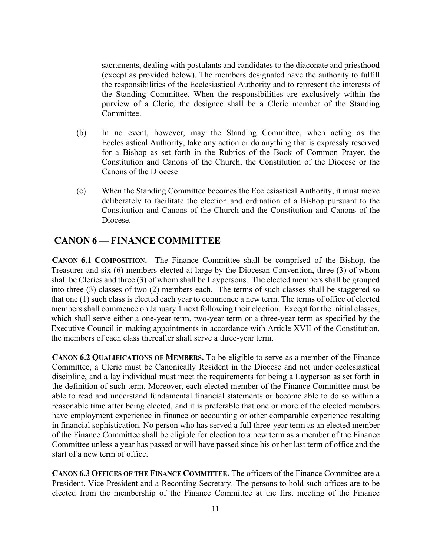sacraments, dealing with postulants and candidates to the diaconate and priesthood (except as provided below). The members designated have the authority to fulfill the responsibilities of the Ecclesiastical Authority and to represent the interests of the Standing Committee. When the responsibilities are exclusively within the purview of a Cleric, the designee shall be a Cleric member of the Standing Committee.

- (b) In no event, however, may the Standing Committee, when acting as the Ecclesiastical Authority, take any action or do anything that is expressly reserved for a Bishop as set forth in the Rubrics of the Book of Common Prayer, the Constitution and Canons of the Church, the Constitution of the Diocese or the Canons of the Diocese
- (c) When the Standing Committee becomes the Ecclesiastical Authority, it must move deliberately to facilitate the election and ordination of a Bishop pursuant to the Constitution and Canons of the Church and the Constitution and Canons of the Diocese.

#### **CANON 6 — FINANCE COMMITTEE**

**CANON 6.1 COMPOSITION.** The Finance Committee shall be comprised of the Bishop, the Treasurer and six (6) members elected at large by the Diocesan Convention, three (3) of whom shall be Clerics and three (3) of whom shall be Laypersons. The elected members shall be grouped into three (3) classes of two (2) members each. The terms of such classes shall be staggered so that one (1) such class is elected each year to commence a new term. The terms of office of elected members shall commence on January 1 next following their election. Except for the initial classes, which shall serve either a one-year term, two-year term or a three-year term as specified by the Executive Council in making appointments in accordance with Article XVII of the Constitution, the members of each class thereafter shall serve a three-year term.

**CANON 6.2 QUALIFICATIONS OF MEMBERS.** To be eligible to serve as a member of the Finance Committee, a Cleric must be Canonically Resident in the Diocese and not under ecclesiastical discipline, and a lay individual must meet the requirements for being a Layperson as set forth in the definition of such term. Moreover, each elected member of the Finance Committee must be able to read and understand fundamental financial statements or become able to do so within a reasonable time after being elected, and it is preferable that one or more of the elected members have employment experience in finance or accounting or other comparable experience resulting in financial sophistication. No person who has served a full three-year term as an elected member of the Finance Committee shall be eligible for election to a new term as a member of the Finance Committee unless a year has passed or will have passed since his or her last term of office and the start of a new term of office.

**CANON 6.3 OFFICES OF THE FINANCE COMMITTEE.** The officers of the Finance Committee are a President, Vice President and a Recording Secretary. The persons to hold such offices are to be elected from the membership of the Finance Committee at the first meeting of the Finance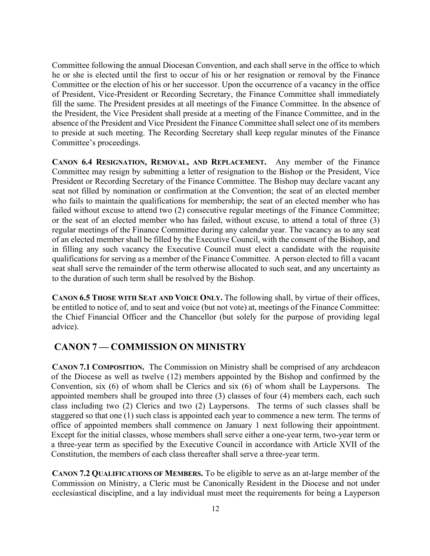Committee following the annual Diocesan Convention, and each shall serve in the office to which he or she is elected until the first to occur of his or her resignation or removal by the Finance Committee or the election of his or her successor. Upon the occurrence of a vacancy in the office of President, Vice-President or Recording Secretary, the Finance Committee shall immediately fill the same. The President presides at all meetings of the Finance Committee. In the absence of the President, the Vice President shall preside at a meeting of the Finance Committee, and in the absence of the President and Vice President the Finance Committee shall select one of its members to preside at such meeting. The Recording Secretary shall keep regular minutes of the Finance Committee's proceedings.

**CANON 6.4 RESIGNATION, REMOVAL, AND REPLACEMENT.** Any member of the Finance Committee may resign by submitting a letter of resignation to the Bishop or the President, Vice President or Recording Secretary of the Finance Committee. The Bishop may declare vacant any seat not filled by nomination or confirmation at the Convention; the seat of an elected member who fails to maintain the qualifications for membership; the seat of an elected member who has failed without excuse to attend two (2) consecutive regular meetings of the Finance Committee; or the seat of an elected member who has failed, without excuse, to attend a total of three (3) regular meetings of the Finance Committee during any calendar year. The vacancy as to any seat of an elected member shall be filled by the Executive Council, with the consent of the Bishop, and in filling any such vacancy the Executive Council must elect a candidate with the requisite qualifications for serving as a member of the Finance Committee. A person elected to fill a vacant seat shall serve the remainder of the term otherwise allocated to such seat, and any uncertainty as to the duration of such term shall be resolved by the Bishop.

**CANON 6.5 THOSE WITH SEAT AND VOICE ONLY.** The following shall, by virtue of their offices, be entitled to notice of, and to seat and voice (but not vote) at, meetings of the Finance Committee: the Chief Financial Officer and the Chancellor (but solely for the purpose of providing legal advice).

#### **CANON 7 — COMMISSION ON MINISTRY**

**CANON 7.1 COMPOSITION.** The Commission on Ministry shall be comprised of any archdeacon of the Diocese as well as twelve (12) members appointed by the Bishop and confirmed by the Convention, six (6) of whom shall be Clerics and six (6) of whom shall be Laypersons. The appointed members shall be grouped into three (3) classes of four (4) members each, each such class including two (2) Clerics and two (2) Laypersons. The terms of such classes shall be staggered so that one (1) such class is appointed each year to commence a new term. The terms of office of appointed members shall commence on January 1 next following their appointment. Except for the initial classes, whose members shall serve either a one-year term, two-year term or a three-year term as specified by the Executive Council in accordance with Article XVII of the Constitution, the members of each class thereafter shall serve a three-year term.

**CANON 7.2 QUALIFICATIONS OF MEMBERS.** To be eligible to serve as an at-large member of the Commission on Ministry, a Cleric must be Canonically Resident in the Diocese and not under ecclesiastical discipline, and a lay individual must meet the requirements for being a Layperson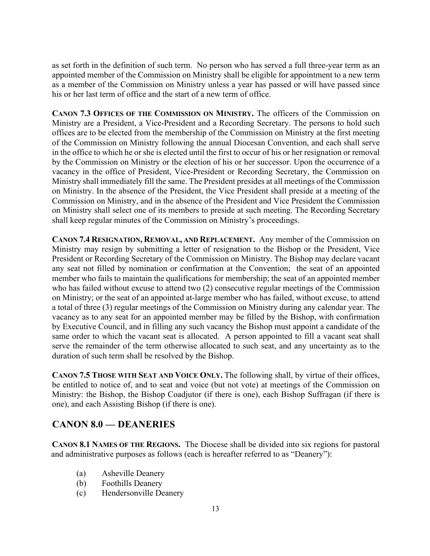as set forth in the definition of such term. No person who has served a full three-year term as an appointed member of the Commission on Ministry shall be eligible for appointment to a new term as a member of the Commission on Ministry unless a year has passed or will have passed since his or her last term of office and the start of a new term of office.

**CANON 7.3 OFFICES OF THE COMMISSION ON MINISTRY.** The officers of the Commission on Ministry are a President, a Vice-President and a Recording Secretary. The persons to hold such offices are to be elected from the membership of the Commission on Ministry at the first meeting of the Commission on Ministry following the annual Diocesan Convention, and each shall serve in the office to which he or she is elected until the first to occur of his or her resignation or removal by the Commission on Ministry or the election of his or her successor. Upon the occurrence of a vacancy in the office of President, Vice-President or Recording Secretary, the Commission on Ministry shall immediately fill the same. The President presides at all meetings of the Commission on Ministry. In the absence of the President, the Vice President shall preside at a meeting of the Commission on Ministry, and in the absence of the President and Vice President the Commission on Ministry shall select one of its members to preside at such meeting. The Recording Secretary shall keep regular minutes of the Commission on Ministry's proceedings.

**CANON 7.4 RESIGNATION, REMOVAL, AND REPLACEMENT.** Any member of the Commission on Ministry may resign by submitting a letter of resignation to the Bishop or the President, Vice President or Recording Secretary of the Commission on Ministry. The Bishop may declare vacant any seat not filled by nomination or confirmation at the Convention; the seat of an appointed member who fails to maintain the qualifications for membership; the seat of an appointed member who has failed without excuse to attend two (2) consecutive regular meetings of the Commission on Ministry; or the seat of an appointed at-large member who has failed, without excuse, to attend a total of three (3) regular meetings of the Commission on Ministry during any calendar year. The vacancy as to any seat for an appointed member may be filled by the Bishop, with confirmation by Executive Council, and in filling any such vacancy the Bishop must appoint a candidate of the same order to which the vacant seat is allocated. A person appointed to fill a vacant seat shall serve the remainder of the term otherwise allocated to such seat, and any uncertainty as to the duration of such term shall be resolved by the Bishop.

**CANON 7.5 THOSE WITH SEAT AND VOICE ONLY.** The following shall, by virtue of their offices, be entitled to notice of, and to seat and voice (but not vote) at meetings of the Commission on Ministry: the Bishop, the Bishop Coadjutor (if there is one), each Bishop Suffragan (if there is one), and each Assisting Bishop (if there is one).

### **CANON 8.0 — DEANERIES**

**CANON 8.1 NAMES OF THE REGIONS.** The Diocese shall be divided into six regions for pastoral and administrative purposes as follows (each is hereafter referred to as "Deanery"):

- (a) Asheville Deanery
- (b) Foothills Deanery
- (c) Hendersonville Deanery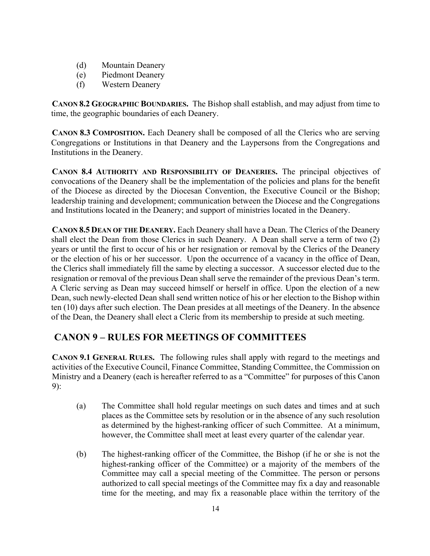- (d) Mountain Deanery
- (e) Piedmont Deanery
- (f) Western Deanery

**CANON 8.2 GEOGRAPHIC BOUNDARIES.** The Bishop shall establish, and may adjust from time to time, the geographic boundaries of each Deanery.

**CANON 8.3 COMPOSITION.** Each Deanery shall be composed of all the Clerics who are serving Congregations or Institutions in that Deanery and the Laypersons from the Congregations and Institutions in the Deanery.

**CANON 8.4 AUTHORITY AND RESPONSIBILITY OF DEANERIES.** The principal objectives of convocations of the Deanery shall be the implementation of the policies and plans for the benefit of the Diocese as directed by the Diocesan Convention, the Executive Council or the Bishop; leadership training and development; communication between the Diocese and the Congregations and Institutions located in the Deanery; and support of ministries located in the Deanery.

**CANON 8.5 DEAN OF THE DEANERY.** Each Deanery shall have a Dean. The Clerics of the Deanery shall elect the Dean from those Clerics in such Deanery. A Dean shall serve a term of two (2) years or until the first to occur of his or her resignation or removal by the Clerics of the Deanery or the election of his or her successor. Upon the occurrence of a vacancy in the office of Dean, the Clerics shall immediately fill the same by electing a successor. A successor elected due to the resignation or removal of the previous Dean shall serve the remainder of the previous Dean's term. A Cleric serving as Dean may succeed himself or herself in office. Upon the election of a new Dean, such newly-elected Dean shall send written notice of his or her election to the Bishop within ten (10) days after such election. The Dean presides at all meetings of the Deanery. In the absence of the Dean, the Deanery shall elect a Cleric from its membership to preside at such meeting.

### **CANON 9 – RULES FOR MEETINGS OF COMMITTEES**

**CANON 9.1 GENERAL RULES.** The following rules shall apply with regard to the meetings and activities of the Executive Council, Finance Committee, Standing Committee, the Commission on Ministry and a Deanery (each is hereafter referred to as a "Committee" for purposes of this Canon 9):

- (a) The Committee shall hold regular meetings on such dates and times and at such places as the Committee sets by resolution or in the absence of any such resolution as determined by the highest-ranking officer of such Committee. At a minimum, however, the Committee shall meet at least every quarter of the calendar year.
- (b) The highest-ranking officer of the Committee, the Bishop (if he or she is not the highest-ranking officer of the Committee) or a majority of the members of the Committee may call a special meeting of the Committee. The person or persons authorized to call special meetings of the Committee may fix a day and reasonable time for the meeting, and may fix a reasonable place within the territory of the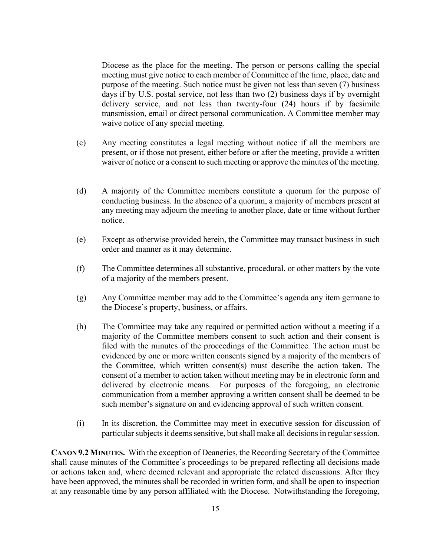Diocese as the place for the meeting. The person or persons calling the special meeting must give notice to each member of Committee of the time, place, date and purpose of the meeting. Such notice must be given not less than seven (7) business days if by U.S. postal service, not less than two (2) business days if by overnight delivery service, and not less than twenty-four (24) hours if by facsimile transmission, email or direct personal communication. A Committee member may waive notice of any special meeting.

- (c) Any meeting constitutes a legal meeting without notice if all the members are present, or if those not present, either before or after the meeting, provide a written waiver of notice or a consent to such meeting or approve the minutes of the meeting.
- (d) A majority of the Committee members constitute a quorum for the purpose of conducting business. In the absence of a quorum, a majority of members present at any meeting may adjourn the meeting to another place, date or time without further notice.
- (e) Except as otherwise provided herein, the Committee may transact business in such order and manner as it may determine.
- (f) The Committee determines all substantive, procedural, or other matters by the vote of a majority of the members present.
- (g) Any Committee member may add to the Committee's agenda any item germane to the Diocese's property, business, or affairs.
- (h) The Committee may take any required or permitted action without a meeting if a majority of the Committee members consent to such action and their consent is filed with the minutes of the proceedings of the Committee. The action must be evidenced by one or more written consents signed by a majority of the members of the Committee, which written consent(s) must describe the action taken. The consent of a member to action taken without meeting may be in electronic form and delivered by electronic means. For purposes of the foregoing, an electronic communication from a member approving a written consent shall be deemed to be such member's signature on and evidencing approval of such written consent.
- (i) In its discretion, the Committee may meet in executive session for discussion of particular subjects it deems sensitive, butshall make all decisions in regular session.

**CANON 9.2 MINUTES.** With the exception of Deaneries, the Recording Secretary of the Committee shall cause minutes of the Committee's proceedings to be prepared reflecting all decisions made or actions taken and, where deemed relevant and appropriate the related discussions. After they have been approved, the minutes shall be recorded in written form, and shall be open to inspection at any reasonable time by any person affiliated with the Diocese. Notwithstanding the foregoing,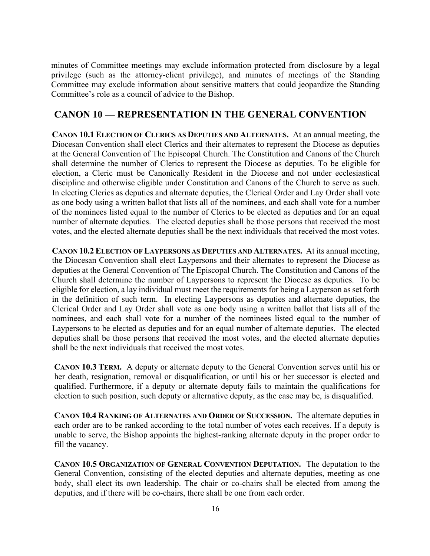minutes of Committee meetings may exclude information protected from disclosure by a legal privilege (such as the attorney-client privilege), and minutes of meetings of the Standing Committee may exclude information about sensitive matters that could jeopardize the Standing Committee's role as a council of advice to the Bishop.

#### **CANON 10 — REPRESENTATION IN THE GENERAL CONVENTION**

**CANON 10.1 ELECTION OF CLERICS AS DEPUTIES AND ALTERNATES.** At an annual meeting, the Diocesan Convention shall elect Clerics and their alternates to represent the Diocese as deputies at the General Convention of The Episcopal Church. The Constitution and Canons of the Church shall determine the number of Clerics to represent the Diocese as deputies. To be eligible for election, a Cleric must be Canonically Resident in the Diocese and not under ecclesiastical discipline and otherwise eligible under Constitution and Canons of the Church to serve as such. In electing Clerics as deputies and alternate deputies, the Clerical Order and Lay Order shall vote as one body using a written ballot that lists all of the nominees, and each shall vote for a number of the nominees listed equal to the number of Clerics to be elected as deputies and for an equal number of alternate deputies. The elected deputies shall be those persons that received the most votes, and the elected alternate deputies shall be the next individuals that received the most votes.

**CANON 10.2 ELECTION OF LAYPERSONS AS DEPUTIES AND ALTERNATES.** At its annual meeting, the Diocesan Convention shall elect Laypersons and their alternates to represent the Diocese as deputies at the General Convention of The Episcopal Church. The Constitution and Canons of the Church shall determine the number of Laypersons to represent the Diocese as deputies. To be eligible for election, a lay individual must meet the requirements for being a Layperson as set forth in the definition of such term. In electing Laypersons as deputies and alternate deputies, the Clerical Order and Lay Order shall vote as one body using a written ballot that lists all of the nominees, and each shall vote for a number of the nominees listed equal to the number of Laypersons to be elected as deputies and for an equal number of alternate deputies. The elected deputies shall be those persons that received the most votes, and the elected alternate deputies shall be the next individuals that received the most votes.

**CANON 10.3 TERM.** A deputy or alternate deputy to the General Convention serves until his or her death, resignation, removal or disqualification, or until his or her successor is elected and qualified. Furthermore, if a deputy or alternate deputy fails to maintain the qualifications for election to such position, such deputy or alternative deputy, as the case may be, is disqualified.

**CANON 10.4 RANKING OF ALTERNATES AND ORDER OF SUCCESSION.** The alternate deputies in each order are to be ranked according to the total number of votes each receives. If a deputy is unable to serve, the Bishop appoints the highest-ranking alternate deputy in the proper order to fill the vacancy.

**CANON 10.5 ORGANIZATION OF GENERAL CONVENTION DEPUTATION.** The deputation to the General Convention, consisting of the elected deputies and alternate deputies, meeting as one body, shall elect its own leadership. The chair or co-chairs shall be elected from among the deputies, and if there will be co-chairs, there shall be one from each order.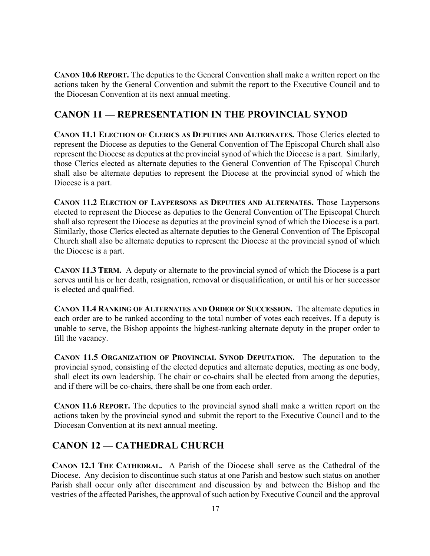**CANON 10.6 REPORT.** The deputies to the General Convention shall make a written report on the actions taken by the General Convention and submit the report to the Executive Council and to the Diocesan Convention at its next annual meeting.

### **CANON 11 — REPRESENTATION IN THE PROVINCIAL SYNOD**

**CANON 11.1 ELECTION OF CLERICS AS DEPUTIES AND ALTERNATES.** Those Clerics elected to represent the Diocese as deputies to the General Convention of The Episcopal Church shall also represent the Diocese as deputies at the provincial synod of which the Diocese is a part. Similarly, those Clerics elected as alternate deputies to the General Convention of The Episcopal Church shall also be alternate deputies to represent the Diocese at the provincial synod of which the Diocese is a part.

**CANON 11.2 ELECTION OF LAYPERSONS AS DEPUTIES AND ALTERNATES.** Those Laypersons elected to represent the Diocese as deputies to the General Convention of The Episcopal Church shall also represent the Diocese as deputies at the provincial synod of which the Diocese is a part. Similarly, those Clerics elected as alternate deputies to the General Convention of The Episcopal Church shall also be alternate deputies to represent the Diocese at the provincial synod of which the Diocese is a part.

**CANON 11.3 TERM.** A deputy or alternate to the provincial synod of which the Diocese is a part serves until his or her death, resignation, removal or disqualification, or until his or her successor is elected and qualified.

**CANON 11.4 RANKING OF ALTERNATES AND ORDER OF SUCCESSION.** The alternate deputies in each order are to be ranked according to the total number of votes each receives. If a deputy is unable to serve, the Bishop appoints the highest-ranking alternate deputy in the proper order to fill the vacancy.

**CANON 11.5 ORGANIZATION OF PROVINCIAL SYNOD DEPUTATION.** The deputation to the provincial synod, consisting of the elected deputies and alternate deputies, meeting as one body, shall elect its own leadership. The chair or co-chairs shall be elected from among the deputies, and if there will be co-chairs, there shall be one from each order.

**CANON 11.6 REPORT.** The deputies to the provincial synod shall make a written report on the actions taken by the provincial synod and submit the report to the Executive Council and to the Diocesan Convention at its next annual meeting.

# **CANON 12 — CATHEDRAL CHURCH**

**CANON 12.1 THE CATHEDRAL.** A Parish of the Diocese shall serve as the Cathedral of the Diocese. Any decision to discontinue such status at one Parish and bestow such status on another Parish shall occur only after discernment and discussion by and between the Bishop and the vestries of the affected Parishes, the approval of such action by Executive Council and the approval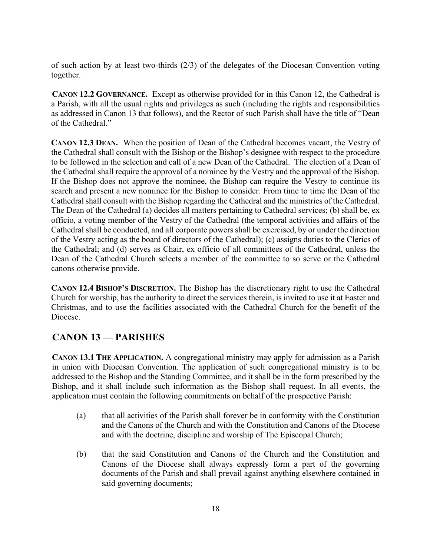of such action by at least two-thirds (2/3) of the delegates of the Diocesan Convention voting together.

**CANON 12.2 GOVERNANCE.** Except as otherwise provided for in this Canon 12, the Cathedral is a Parish, with all the usual rights and privileges as such (including the rights and responsibilities as addressed in Canon 13 that follows), and the Rector of such Parish shall have the title of "Dean of the Cathedral."

**CANON 12.3 DEAN.** When the position of Dean of the Cathedral becomes vacant, the Vestry of the Cathedral shall consult with the Bishop or the Bishop's designee with respect to the procedure to be followed in the selection and call of a new Dean of the Cathedral. The election of a Dean of the Cathedral shall require the approval of a nominee by the Vestry and the approval of the Bishop. If the Bishop does not approve the nominee, the Bishop can require the Vestry to continue its search and present a new nominee for the Bishop to consider. From time to time the Dean of the Cathedral shall consult with the Bishop regarding the Cathedral and the ministries of the Cathedral. The Dean of the Cathedral (a) decides all matters pertaining to Cathedral services; (b) shall be, ex officio, a voting member of the Vestry of the Cathedral (the temporal activities and affairs of the Cathedral shall be conducted, and all corporate powers shall be exercised, by or under the direction of the Vestry acting as the board of directors of the Cathedral); (c) assigns duties to the Clerics of the Cathedral; and (d) serves as Chair, ex officio of all committees of the Cathedral, unless the Dean of the Cathedral Church selects a member of the committee to so serve or the Cathedral canons otherwise provide.

**CANON 12.4 BISHOP'S DISCRETION.** The Bishop has the discretionary right to use the Cathedral Church for worship, has the authority to direct the services therein, is invited to use it at Easter and Christmas, and to use the facilities associated with the Cathedral Church for the benefit of the Diocese.

# **CANON 13 — PARISHES**

**CANON 13.1 THE APPLICATION.** A congregational ministry may apply for admission as a Parish in union with Diocesan Convention. The application of such congregational ministry is to be addressed to the Bishop and the Standing Committee, and it shall be in the form prescribed by the Bishop, and it shall include such information as the Bishop shall request. In all events, the application must contain the following commitments on behalf of the prospective Parish:

- (a) that all activities of the Parish shall forever be in conformity with the Constitution and the Canons of the Church and with the Constitution and Canons of the Diocese and with the doctrine, discipline and worship of The Episcopal Church;
- (b) that the said Constitution and Canons of the Church and the Constitution and Canons of the Diocese shall always expressly form a part of the governing documents of the Parish and shall prevail against anything elsewhere contained in said governing documents;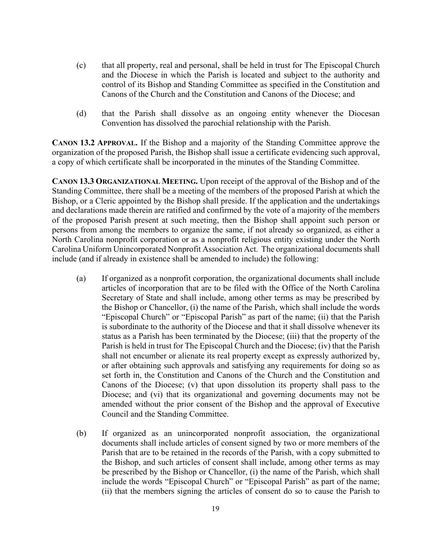- (c) that all property, real and personal, shall be held in trust for The Episcopal Church and the Diocese in which the Parish is located and subject to the authority and control of its Bishop and Standing Committee as specified in the Constitution and Canons of the Church and the Constitution and Canons of the Diocese; and
- (d) that the Parish shall dissolve as an ongoing entity whenever the Diocesan Convention has dissolved the parochial relationship with the Parish.

**CANON 13.2 APPROVAL.** If the Bishop and a majority of the Standing Committee approve the organization of the proposed Parish, the Bishop shall issue a certificate evidencing such approval, a copy of which certificate shall be incorporated in the minutes of the Standing Committee.

**CANON 13.3 ORGANIZATIONAL MEETING.** Upon receipt of the approval of the Bishop and of the Standing Committee, there shall be a meeting of the members of the proposed Parish at which the Bishop, or a Cleric appointed by the Bishop shall preside. If the application and the undertakings and declarations made therein are ratified and confirmed by the vote of a majority of the members of the proposed Parish present at such meeting, then the Bishop shall appoint such person or persons from among the members to organize the same, if not already so organized, as either a North Carolina nonprofit corporation or as a nonprofit religious entity existing under the North Carolina Uniform Unincorporated Nonprofit Association Act. The organizational documents shall include (and if already in existence shall be amended to include) the following:

- (a) If organized as a nonprofit corporation, the organizational documents shall include articles of incorporation that are to be filed with the Office of the North Carolina Secretary of State and shall include, among other terms as may be prescribed by the Bishop or Chancellor, (i) the name of the Parish, which shall include the words "Episcopal Church" or "Episcopal Parish" as part of the name; (ii) that the Parish is subordinate to the authority of the Diocese and that it shall dissolve whenever its status as a Parish has been terminated by the Diocese; (iii) that the property of the Parish is held in trust for The Episcopal Church and the Diocese; (iv) that the Parish shall not encumber or alienate its real property except as expressly authorized by, or after obtaining such approvals and satisfying any requirements for doing so as set forth in, the Constitution and Canons of the Church and the Constitution and Canons of the Diocese; (v) that upon dissolution its property shall pass to the Diocese; and (vi) that its organizational and governing documents may not be amended without the prior consent of the Bishop and the approval of Executive Council and the Standing Committee.
- (b) If organized as an unincorporated nonprofit association, the organizational documents shall include articles of consent signed by two or more members of the Parish that are to be retained in the records of the Parish, with a copy submitted to the Bishop, and such articles of consent shall include, among other terms as may be prescribed by the Bishop or Chancellor, (i) the name of the Parish, which shall include the words "Episcopal Church" or "Episcopal Parish" as part of the name; (ii) that the members signing the articles of consent do so to cause the Parish to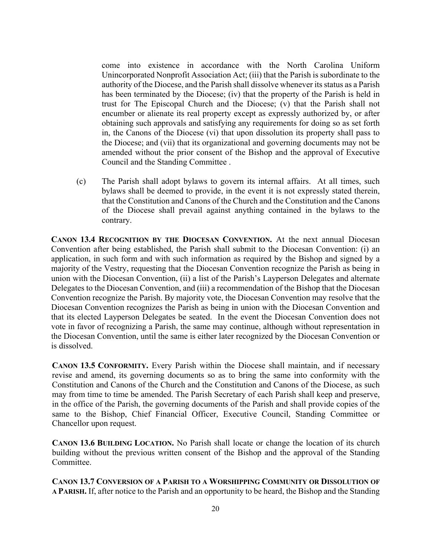come into existence in accordance with the North Carolina Uniform Unincorporated Nonprofit Association Act; (iii) that the Parish is subordinate to the authority of the Diocese, and the Parish shall dissolve whenever its status as a Parish has been terminated by the Diocese; (iv) that the property of the Parish is held in trust for The Episcopal Church and the Diocese; (v) that the Parish shall not encumber or alienate its real property except as expressly authorized by, or after obtaining such approvals and satisfying any requirements for doing so as set forth in, the Canons of the Diocese (vi) that upon dissolution its property shall pass to the Diocese; and (vii) that its organizational and governing documents may not be amended without the prior consent of the Bishop and the approval of Executive Council and the Standing Committee .

(c) The Parish shall adopt bylaws to govern its internal affairs. At all times, such bylaws shall be deemed to provide, in the event it is not expressly stated therein, that the Constitution and Canons of the Church and the Constitution and the Canons of the Diocese shall prevail against anything contained in the bylaws to the contrary.

**CANON 13.4 RECOGNITION BY THE DIOCESAN CONVENTION.** At the next annual Diocesan Convention after being established, the Parish shall submit to the Diocesan Convention: (i) an application, in such form and with such information as required by the Bishop and signed by a majority of the Vestry, requesting that the Diocesan Convention recognize the Parish as being in union with the Diocesan Convention, (ii) a list of the Parish's Layperson Delegates and alternate Delegates to the Diocesan Convention, and (iii) a recommendation of the Bishop that the Diocesan Convention recognize the Parish. By majority vote, the Diocesan Convention may resolve that the Diocesan Convention recognizes the Parish as being in union with the Diocesan Convention and that its elected Layperson Delegates be seated. In the event the Diocesan Convention does not vote in favor of recognizing a Parish, the same may continue, although without representation in the Diocesan Convention, until the same is either later recognized by the Diocesan Convention or is dissolved.

**CANON 13.5 CONFORMITY.** Every Parish within the Diocese shall maintain, and if necessary revise and amend, its governing documents so as to bring the same into conformity with the Constitution and Canons of the Church and the Constitution and Canons of the Diocese, as such may from time to time be amended. The Parish Secretary of each Parish shall keep and preserve, in the office of the Parish, the governing documents of the Parish and shall provide copies of the same to the Bishop, Chief Financial Officer, Executive Council, Standing Committee or Chancellor upon request.

**CANON 13.6 BUILDING LOCATION.** No Parish shall locate or change the location of its church building without the previous written consent of the Bishop and the approval of the Standing Committee.

**CANON 13.7 CONVERSION OF A PARISH TO A WORSHIPPING COMMUNITY OR DISSOLUTION OF A PARISH.** If, after notice to the Parish and an opportunity to be heard, the Bishop and the Standing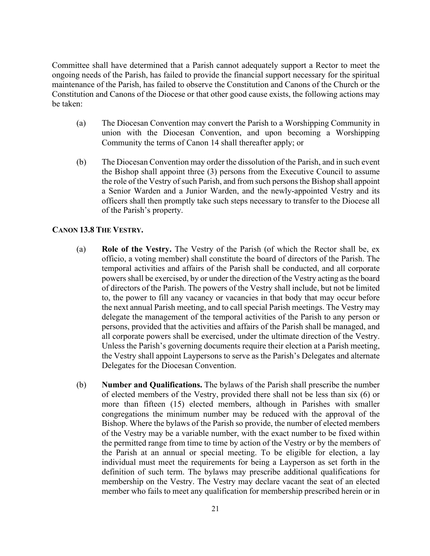Committee shall have determined that a Parish cannot adequately support a Rector to meet the ongoing needs of the Parish, has failed to provide the financial support necessary for the spiritual maintenance of the Parish, has failed to observe the Constitution and Canons of the Church or the Constitution and Canons of the Diocese or that other good cause exists, the following actions may be taken:

- (a) The Diocesan Convention may convert the Parish to a Worshipping Community in union with the Diocesan Convention, and upon becoming a Worshipping Community the terms of Canon 14 shall thereafter apply; or
- (b) The Diocesan Convention may order the dissolution of the Parish, and in such event the Bishop shall appoint three (3) persons from the Executive Council to assume the role of the Vestry of such Parish, and from such persons the Bishop shall appoint a Senior Warden and a Junior Warden, and the newly-appointed Vestry and its officers shall then promptly take such steps necessary to transfer to the Diocese all of the Parish's property.

#### **CANON 13.8 THE VESTRY.**

- (a) **Role of the Vestry.** The Vestry of the Parish (of which the Rector shall be, ex officio, a voting member) shall constitute the board of directors of the Parish. The temporal activities and affairs of the Parish shall be conducted, and all corporate powers shall be exercised, by or under the direction of the Vestry acting as the board of directors of the Parish. The powers of the Vestry shall include, but not be limited to, the power to fill any vacancy or vacancies in that body that may occur before the next annual Parish meeting, and to call special Parish meetings. The Vestry may delegate the management of the temporal activities of the Parish to any person or persons, provided that the activities and affairs of the Parish shall be managed, and all corporate powers shall be exercised, under the ultimate direction of the Vestry. Unless the Parish's governing documents require their election at a Parish meeting, the Vestry shall appoint Laypersons to serve as the Parish's Delegates and alternate Delegates for the Diocesan Convention.
- (b) **Number and Qualifications.** The bylaws of the Parish shall prescribe the number of elected members of the Vestry, provided there shall not be less than six (6) or more than fifteen (15) elected members, although in Parishes with smaller congregations the minimum number may be reduced with the approval of the Bishop. Where the bylaws of the Parish so provide, the number of elected members of the Vestry may be a variable number, with the exact number to be fixed within the permitted range from time to time by action of the Vestry or by the members of the Parish at an annual or special meeting. To be eligible for election, a lay individual must meet the requirements for being a Layperson as set forth in the definition of such term. The bylaws may prescribe additional qualifications for membership on the Vestry. The Vestry may declare vacant the seat of an elected member who fails to meet any qualification for membership prescribed herein or in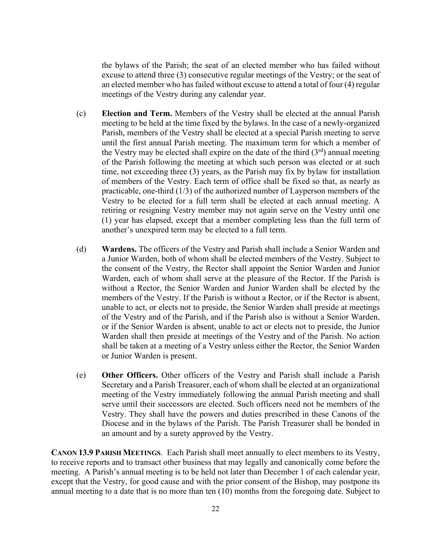the bylaws of the Parish; the seat of an elected member who has failed without excuse to attend three (3) consecutive regular meetings of the Vestry; or the seat of an elected member who has failed without excuse to attend a total of four (4) regular meetings of the Vestry during any calendar year.

- (c) **Election and Term.** Members of the Vestry shall be elected at the annual Parish meeting to be held at the time fixed by the bylaws. In the case of a newly-organized Parish, members of the Vestry shall be elected at a special Parish meeting to serve until the first annual Parish meeting. The maximum term for which a member of the Vestry may be elected shall expire on the date of the third  $(3<sup>rd</sup>)$  annual meeting of the Parish following the meeting at which such person was elected or at such time, not exceeding three (3) years, as the Parish may fix by bylaw for installation of members of the Vestry. Each term of office shall be fixed so that, as nearly as practicable, one-third (1/3) of the authorized number of Layperson members of the Vestry to be elected for a full term shall be elected at each annual meeting. A retiring or resigning Vestry member may not again serve on the Vestry until one (1) year has elapsed, except that a member completing less than the full term of another's unexpired term may be elected to a full term.
- (d) **Wardens.** The officers of the Vestry and Parish shall include a Senior Warden and a Junior Warden, both of whom shall be elected members of the Vestry. Subject to the consent of the Vestry, the Rector shall appoint the Senior Warden and Junior Warden, each of whom shall serve at the pleasure of the Rector. If the Parish is without a Rector, the Senior Warden and Junior Warden shall be elected by the members of the Vestry. If the Parish is without a Rector, or if the Rector is absent, unable to act, or elects not to preside, the Senior Warden shall preside at meetings of the Vestry and of the Parish, and if the Parish also is without a Senior Warden, or if the Senior Warden is absent, unable to act or elects not to preside, the Junior Warden shall then preside at meetings of the Vestry and of the Parish. No action shall be taken at a meeting of a Vestry unless either the Rector, the Senior Warden or Junior Warden is present.
- (e) **Other Officers.** Other officers of the Vestry and Parish shall include a Parish Secretary and a Parish Treasurer, each of whom shall be elected at an organizational meeting of the Vestry immediately following the annual Parish meeting and shall serve until their successors are elected. Such officers need not be members of the Vestry. They shall have the powers and duties prescribed in these Canons of the Diocese and in the bylaws of the Parish. The Parish Treasurer shall be bonded in an amount and by a surety approved by the Vestry.

**CANON 13.9 PARISH MEETINGS**.Each Parish shall meet annually to elect members to its Vestry, to receive reports and to transact other business that may legally and canonically come before the meeting. A Parish's annual meeting is to be held not later than December 1 of each calendar year, except that the Vestry, for good cause and with the prior consent of the Bishop, may postpone its annual meeting to a date that is no more than ten (10) months from the foregoing date. Subject to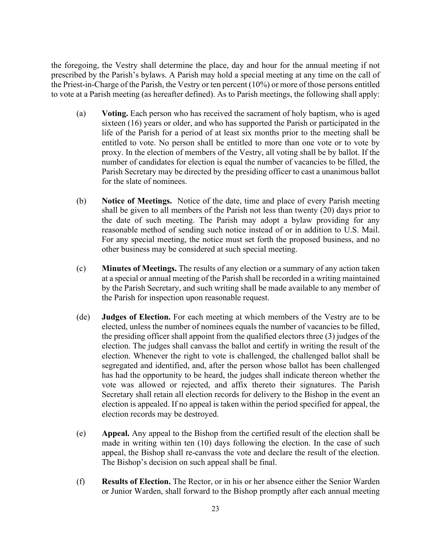the foregoing, the Vestry shall determine the place, day and hour for the annual meeting if not prescribed by the Parish's bylaws. A Parish may hold a special meeting at any time on the call of the Priest-in-Charge of the Parish, the Vestry or ten percent (10%) or more of those persons entitled to vote at a Parish meeting (as hereafter defined). As to Parish meetings, the following shall apply:

- (a) **Voting.** Each person who has received the sacrament of holy baptism, who is aged sixteen (16) years or older, and who has supported the Parish or participated in the life of the Parish for a period of at least six months prior to the meeting shall be entitled to vote. No person shall be entitled to more than one vote or to vote by proxy. In the election of members of the Vestry, all voting shall be by ballot. If the number of candidates for election is equal the number of vacancies to be filled, the Parish Secretary may be directed by the presiding officer to cast a unanimous ballot for the slate of nominees.
- (b) **Notice of Meetings.** Notice of the date, time and place of every Parish meeting shall be given to all members of the Parish not less than twenty (20) days prior to the date of such meeting. The Parish may adopt a bylaw providing for any reasonable method of sending such notice instead of or in addition to U.S. Mail. For any special meeting, the notice must set forth the proposed business, and no other business may be considered at such special meeting.
- (c) **Minutes of Meetings.** The results of any election or a summary of any action taken at a special or annual meeting of the Parish shall be recorded in a writing maintained by the Parish Secretary, and such writing shall be made available to any member of the Parish for inspection upon reasonable request.
- (de) **Judges of Election.** For each meeting at which members of the Vestry are to be elected, unless the number of nominees equals the number of vacancies to be filled, the presiding officer shall appoint from the qualified electors three (3) judges of the election. The judges shall canvass the ballot and certify in writing the result of the election. Whenever the right to vote is challenged, the challenged ballot shall be segregated and identified, and, after the person whose ballot has been challenged has had the opportunity to be heard, the judges shall indicate thereon whether the vote was allowed or rejected, and affix thereto their signatures. The Parish Secretary shall retain all election records for delivery to the Bishop in the event an election is appealed. If no appeal is taken within the period specified for appeal, the election records may be destroyed.
- (e) **Appeal.** Any appeal to the Bishop from the certified result of the election shall be made in writing within ten (10) days following the election. In the case of such appeal, the Bishop shall re-canvass the vote and declare the result of the election. The Bishop's decision on such appeal shall be final.
- (f) **Results of Election.** The Rector, or in his or her absence either the Senior Warden or Junior Warden, shall forward to the Bishop promptly after each annual meeting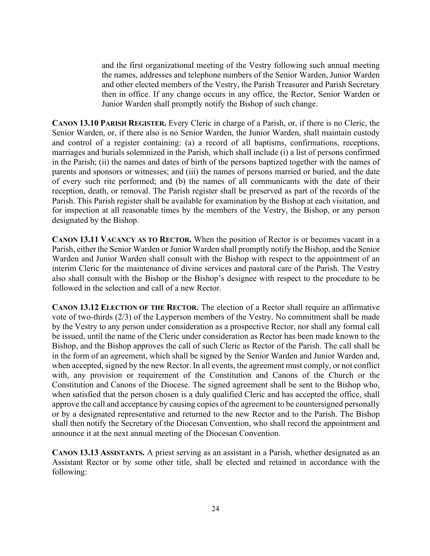and the first organizational meeting of the Vestry following such annual meeting the names, addresses and telephone numbers of the Senior Warden, Junior Warden and other elected members of the Vestry, the Parish Treasurer and Parish Secretary then in office. If any change occurs in any office, the Rector, Senior Warden or Junior Warden shall promptly notify the Bishop of such change.

**CANON 13.10 PARISH REGISTER.** Every Cleric in charge of a Parish, or, if there is no Cleric, the Senior Warden, or, if there also is no Senior Warden, the Junior Warden, shall maintain custody and control of a register containing: (a) a record of all baptisms, confirmations, receptions, marriages and burials solemnized in the Parish, which shall include (i) a list of persons confirmed in the Parish; (ii) the names and dates of birth of the persons baptized together with the names of parents and sponsors or witnesses; and (iii) the names of persons married or buried, and the date of every such rite performed; and (b) the names of all communicants with the date of their reception, death, or removal. The Parish register shall be preserved as part of the records of the Parish. This Parish register shall be available for examination by the Bishop at each visitation, and for inspection at all reasonable times by the members of the Vestry, the Bishop, or any person designated by the Bishop.

**CANON 13.11 VACANCY AS TO RECTOR.** When the position of Rector is or becomes vacant in a Parish, either the Senior Warden or Junior Warden shall promptly notify the Bishop, and the Senior Warden and Junior Warden shall consult with the Bishop with respect to the appointment of an interim Cleric for the maintenance of divine services and pastoral care of the Parish. The Vestry also shall consult with the Bishop or the Bishop's designee with respect to the procedure to be followed in the selection and call of a new Rector.

**CANON 13.12 ELECTION OF THE RECTOR.** The election of a Rector shall require an affirmative vote of two-thirds (2/3) of the Layperson members of the Vestry. No commitment shall be made by the Vestry to any person under consideration as a prospective Rector, nor shall any formal call be issued, until the name of the Cleric under consideration as Rector has been made known to the Bishop, and the Bishop approves the call of such Cleric as Rector of the Parish. The call shall be in the form of an agreement, which shall be signed by the Senior Warden and Junior Warden and, when accepted, signed by the new Rector. In all events, the agreement must comply, or not conflict with, any provision or requirement of the Constitution and Canons of the Church or the Constitution and Canons of the Diocese. The signed agreement shall be sent to the Bishop who, when satisfied that the person chosen is a duly qualified Cleric and has accepted the office, shall approve the call and acceptance by causing copies of the agreement to be countersigned personally or by a designated representative and returned to the new Rector and to the Parish. The Bishop shall then notify the Secretary of the Diocesan Convention, who shall record the appointment and announce it at the next annual meeting of the Diocesan Convention.

**CANON 13.13 ASSISTANTS.** A priest serving as an assistant in a Parish, whether designated as an Assistant Rector or by some other title, shall be elected and retained in accordance with the following: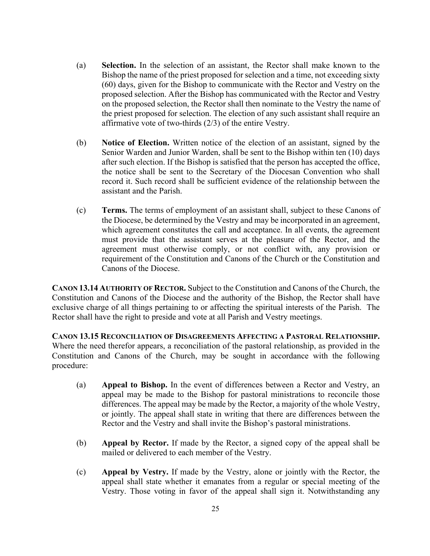- (a) **Selection.** In the selection of an assistant, the Rector shall make known to the Bishop the name of the priest proposed for selection and a time, not exceeding sixty (60) days, given for the Bishop to communicate with the Rector and Vestry on the proposed selection. After the Bishop has communicated with the Rector and Vestry on the proposed selection, the Rector shall then nominate to the Vestry the name of the priest proposed for selection. The election of any such assistant shall require an affirmative vote of two-thirds (2/3) of the entire Vestry.
- (b) **Notice of Election.** Written notice of the election of an assistant, signed by the Senior Warden and Junior Warden, shall be sent to the Bishop within ten (10) days after such election. If the Bishop is satisfied that the person has accepted the office, the notice shall be sent to the Secretary of the Diocesan Convention who shall record it. Such record shall be sufficient evidence of the relationship between the assistant and the Parish.
- (c) **Terms.** The terms of employment of an assistant shall, subject to these Canons of the Diocese, be determined by the Vestry and may be incorporated in an agreement, which agreement constitutes the call and acceptance. In all events, the agreement must provide that the assistant serves at the pleasure of the Rector, and the agreement must otherwise comply, or not conflict with, any provision or requirement of the Constitution and Canons of the Church or the Constitution and Canons of the Diocese.

**CANON 13.14 AUTHORITY OF RECTOR.** Subject to the Constitution and Canons of the Church, the Constitution and Canons of the Diocese and the authority of the Bishop, the Rector shall have exclusive charge of all things pertaining to or affecting the spiritual interests of the Parish. The Rector shall have the right to preside and vote at all Parish and Vestry meetings.

**CANON 13.15 RECONCILIATION OF DISAGREEMENTS AFFECTING A PASTORAL RELATIONSHIP.** Where the need therefor appears, a reconciliation of the pastoral relationship, as provided in the Constitution and Canons of the Church, may be sought in accordance with the following procedure:

- (a) **Appeal to Bishop.** In the event of differences between a Rector and Vestry, an appeal may be made to the Bishop for pastoral ministrations to reconcile those differences. The appeal may be made by the Rector, a majority of the whole Vestry, or jointly. The appeal shall state in writing that there are differences between the Rector and the Vestry and shall invite the Bishop's pastoral ministrations.
- (b) **Appeal by Rector.** If made by the Rector, a signed copy of the appeal shall be mailed or delivered to each member of the Vestry.
- (c) **Appeal by Vestry.** If made by the Vestry, alone or jointly with the Rector, the appeal shall state whether it emanates from a regular or special meeting of the Vestry. Those voting in favor of the appeal shall sign it. Notwithstanding any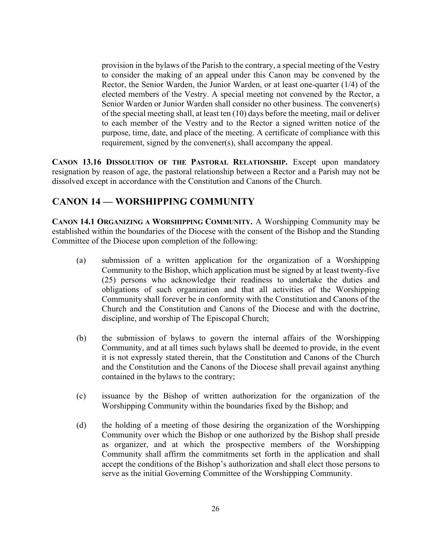provision in the bylaws of the Parish to the contrary, a special meeting of the Vestry to consider the making of an appeal under this Canon may be convened by the Rector, the Senior Warden, the Junior Warden, or at least one-quarter (1/4) of the elected members of the Vestry. A special meeting not convened by the Rector, a Senior Warden or Junior Warden shall consider no other business. The convener(s) of the special meeting shall, at least ten (10) days before the meeting, mail or deliver to each member of the Vestry and to the Rector a signed written notice of the purpose, time, date, and place of the meeting. A certificate of compliance with this requirement, signed by the convener(s), shall accompany the appeal.

**CANON 13.16 DISSOLUTION OF THE PASTORAL RELATIONSHIP.** Except upon mandatory resignation by reason of age, the pastoral relationship between a Rector and a Parish may not be dissolved except in accordance with the Constitution and Canons of the Church.

# **CANON 14 — WORSHIPPING COMMUNITY**

**CANON 14.1 ORGANIZING A WORSHIPPING COMMUNITY.** A Worshipping Community may be established within the boundaries of the Diocese with the consent of the Bishop and the Standing Committee of the Diocese upon completion of the following:

- (a) submission of a written application for the organization of a Worshipping Community to the Bishop, which application must be signed by at least twenty-five (25) persons who acknowledge their readiness to undertake the duties and obligations of such organization and that all activities of the Worshipping Community shall forever be in conformity with the Constitution and Canons of the Church and the Constitution and Canons of the Diocese and with the doctrine, discipline, and worship of The Episcopal Church;
- (b) the submission of bylaws to govern the internal affairs of the Worshipping Community, and at all times such bylaws shall be deemed to provide, in the event it is not expressly stated therein, that the Constitution and Canons of the Church and the Constitution and the Canons of the Diocese shall prevail against anything contained in the bylaws to the contrary;
- (c) issuance by the Bishop of written authorization for the organization of the Worshipping Community within the boundaries fixed by the Bishop; and
- (d) the holding of a meeting of those desiring the organization of the Worshipping Community over which the Bishop or one authorized by the Bishop shall preside as organizer, and at which the prospective members of the Worshipping Community shall affirm the commitments set forth in the application and shall accept the conditions of the Bishop's authorization and shall elect those persons to serve as the initial Governing Committee of the Worshipping Community.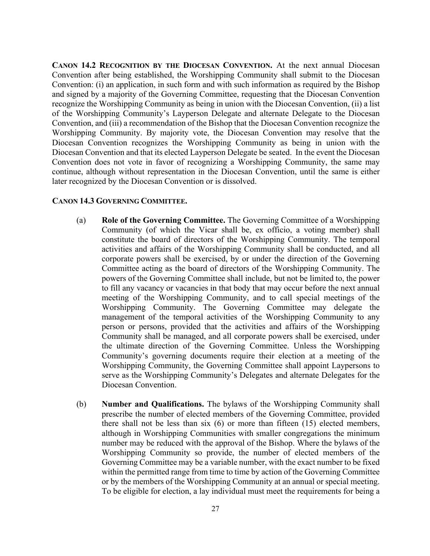**CANON 14.2 RECOGNITION BY THE DIOCESAN CONVENTION.** At the next annual Diocesan Convention after being established, the Worshipping Community shall submit to the Diocesan Convention: (i) an application, in such form and with such information as required by the Bishop and signed by a majority of the Governing Committee, requesting that the Diocesan Convention recognize the Worshipping Community as being in union with the Diocesan Convention, (ii) a list of the Worshipping Community's Layperson Delegate and alternate Delegate to the Diocesan Convention, and (iii) a recommendation of the Bishop that the Diocesan Convention recognize the Worshipping Community. By majority vote, the Diocesan Convention may resolve that the Diocesan Convention recognizes the Worshipping Community as being in union with the Diocesan Convention and that its elected Layperson Delegate be seated. In the event the Diocesan Convention does not vote in favor of recognizing a Worshipping Community, the same may continue, although without representation in the Diocesan Convention, until the same is either later recognized by the Diocesan Convention or is dissolved.

#### **CANON 14.3 GOVERNING COMMITTEE.**

- (a) **Role of the Governing Committee.** The Governing Committee of a Worshipping Community (of which the Vicar shall be, ex officio, a voting member) shall constitute the board of directors of the Worshipping Community. The temporal activities and affairs of the Worshipping Community shall be conducted, and all corporate powers shall be exercised, by or under the direction of the Governing Committee acting as the board of directors of the Worshipping Community. The powers of the Governing Committee shall include, but not be limited to, the power to fill any vacancy or vacancies in that body that may occur before the next annual meeting of the Worshipping Community, and to call special meetings of the Worshipping Community. The Governing Committee may delegate the management of the temporal activities of the Worshipping Community to any person or persons, provided that the activities and affairs of the Worshipping Community shall be managed, and all corporate powers shall be exercised, under the ultimate direction of the Governing Committee. Unless the Worshipping Community's governing documents require their election at a meeting of the Worshipping Community, the Governing Committee shall appoint Laypersons to serve as the Worshipping Community's Delegates and alternate Delegates for the Diocesan Convention.
- (b) **Number and Qualifications.** The bylaws of the Worshipping Community shall prescribe the number of elected members of the Governing Committee, provided there shall not be less than six (6) or more than fifteen (15) elected members, although in Worshipping Communities with smaller congregations the minimum number may be reduced with the approval of the Bishop. Where the bylaws of the Worshipping Community so provide, the number of elected members of the Governing Committee may be a variable number, with the exact number to be fixed within the permitted range from time to time by action of the Governing Committee or by the members of the Worshipping Community at an annual or special meeting. To be eligible for election, a lay individual must meet the requirements for being a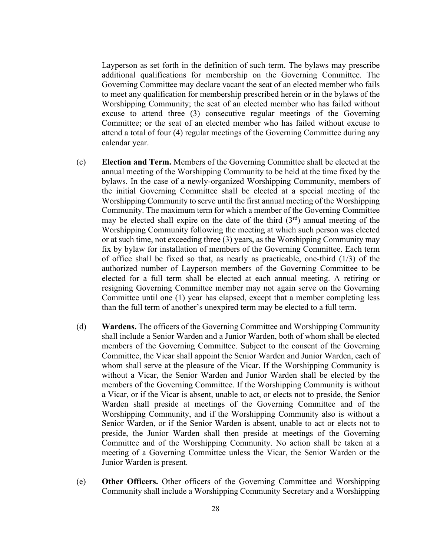Layperson as set forth in the definition of such term. The bylaws may prescribe additional qualifications for membership on the Governing Committee. The Governing Committee may declare vacant the seat of an elected member who fails to meet any qualification for membership prescribed herein or in the bylaws of the Worshipping Community; the seat of an elected member who has failed without excuse to attend three (3) consecutive regular meetings of the Governing Committee; or the seat of an elected member who has failed without excuse to attend a total of four (4) regular meetings of the Governing Committee during any calendar year.

- (c) **Election and Term.** Members of the Governing Committee shall be elected at the annual meeting of the Worshipping Community to be held at the time fixed by the bylaws. In the case of a newly-organized Worshipping Community, members of the initial Governing Committee shall be elected at a special meeting of the Worshipping Community to serve until the first annual meeting of the Worshipping Community. The maximum term for which a member of the Governing Committee may be elected shall expire on the date of the third  $(3<sup>rd</sup>)$  annual meeting of the Worshipping Community following the meeting at which such person was elected or at such time, not exceeding three (3) years, as the Worshipping Community may fix by bylaw for installation of members of the Governing Committee. Each term of office shall be fixed so that, as nearly as practicable, one-third (1/3) of the authorized number of Layperson members of the Governing Committee to be elected for a full term shall be elected at each annual meeting. A retiring or resigning Governing Committee member may not again serve on the Governing Committee until one (1) year has elapsed, except that a member completing less than the full term of another's unexpired term may be elected to a full term.
- (d) **Wardens.** The officers of the Governing Committee and Worshipping Community shall include a Senior Warden and a Junior Warden, both of whom shall be elected members of the Governing Committee. Subject to the consent of the Governing Committee, the Vicar shall appoint the Senior Warden and Junior Warden, each of whom shall serve at the pleasure of the Vicar. If the Worshipping Community is without a Vicar, the Senior Warden and Junior Warden shall be elected by the members of the Governing Committee. If the Worshipping Community is without a Vicar, or if the Vicar is absent, unable to act, or elects not to preside, the Senior Warden shall preside at meetings of the Governing Committee and of the Worshipping Community, and if the Worshipping Community also is without a Senior Warden, or if the Senior Warden is absent, unable to act or elects not to preside, the Junior Warden shall then preside at meetings of the Governing Committee and of the Worshipping Community. No action shall be taken at a meeting of a Governing Committee unless the Vicar, the Senior Warden or the Junior Warden is present.
- (e) **Other Officers.** Other officers of the Governing Committee and Worshipping Community shall include a Worshipping Community Secretary and a Worshipping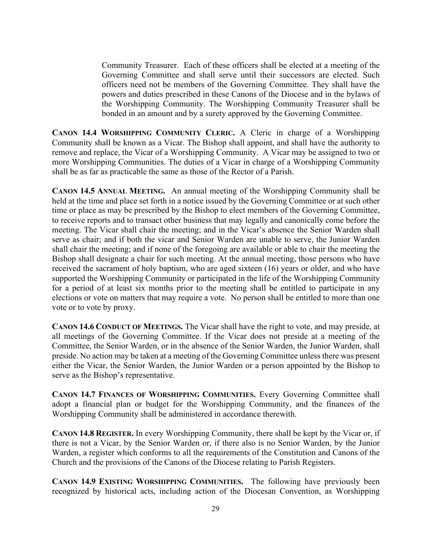Community Treasurer. Each of these officers shall be elected at a meeting of the Governing Committee and shall serve until their successors are elected. Such officers need not be members of the Governing Committee. They shall have the powers and duties prescribed in these Canons of the Diocese and in the bylaws of the Worshipping Community. The Worshipping Community Treasurer shall be bonded in an amount and by a surety approved by the Governing Committee.

**CANON 14.4 WORSHIPPING COMMUNITY CLERIC.** A Cleric in charge of a Worshipping Community shall be known as a Vicar. The Bishop shall appoint, and shall have the authority to remove and replace, the Vicar of a Worshipping Community. A Vicar may be assigned to two or more Worshipping Communities. The duties of a Vicar in charge of a Worshipping Community shall be as far as practicable the same as those of the Rector of a Parish.

**CANON 14.5 ANNUAL MEETING.** An annual meeting of the Worshipping Community shall be held at the time and place set forth in a notice issued by the Governing Committee or at such other time or place as may be prescribed by the Bishop to elect members of the Governing Committee, to receive reports and to transact other business that may legally and canonically come before the meeting. The Vicar shall chair the meeting; and in the Vicar's absence the Senior Warden shall serve as chair; and if both the vicar and Senior Warden are unable to serve, the Junior Warden shall chair the meeting; and if none of the foregoing are available or able to chair the meeting the Bishop shall designate a chair for such meeting. At the annual meeting, those persons who have received the sacrament of holy baptism, who are aged sixteen (16) years or older, and who have supported the Worshipping Community or participated in the life of the Worshipping Community for a period of at least six months prior to the meeting shall be entitled to participate in any elections or vote on matters that may require a vote. No person shall be entitled to more than one vote or to vote by proxy.

**CANON 14.6 CONDUCT OF MEETINGS.** The Vicar shall have the right to vote, and may preside, at all meetings of the Governing Committee. If the Vicar does not preside at a meeting of the Committee, the Senior Warden, or in the absence of the Senior Warden, the Junior Warden, shall preside. No action may be taken at a meeting of the Governing Committee unless there was present either the Vicar, the Senior Warden, the Junior Warden or a person appointed by the Bishop to serve as the Bishop's representative.

**CANON 14.7 FINANCES OF WORSHIPPING COMMUNITIES.** Every Governing Committee shall adopt a financial plan or budget for the Worshipping Community, and the finances of the Worshipping Community shall be administered in accordance therewith.

**CANON 14.8 REGISTER.** In every Worshipping Community, there shall be kept by the Vicar or, if there is not a Vicar, by the Senior Warden or, if there also is no Senior Warden, by the Junior Warden, a register which conforms to all the requirements of the Constitution and Canons of the Church and the provisions of the Canons of the Diocese relating to Parish Registers.

**CANON 14.9 EXISTING WORSHIPPING COMMUNITIES.** The following have previously been recognized by historical acts, including action of the Diocesan Convention, as Worshipping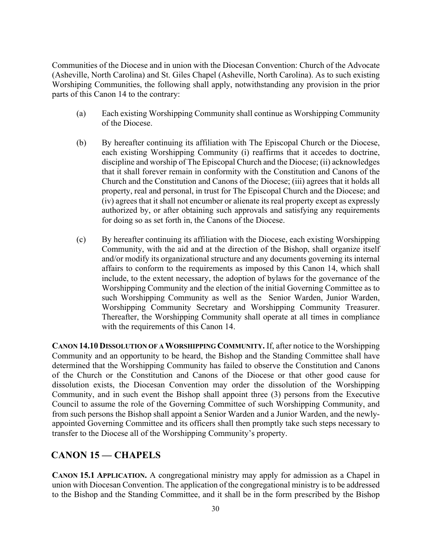Communities of the Diocese and in union with the Diocesan Convention: Church of the Advocate (Asheville, North Carolina) and St. Giles Chapel (Asheville, North Carolina). As to such existing Worshiping Communities, the following shall apply, notwithstanding any provision in the prior parts of this Canon 14 to the contrary:

- (a) Each existing Worshipping Community shall continue as Worshipping Community of the Diocese.
- (b) By hereafter continuing its affiliation with The Episcopal Church or the Diocese, each existing Worshipping Community (i) reaffirms that it accedes to doctrine, discipline and worship of The Episcopal Church and the Diocese; (ii) acknowledges that it shall forever remain in conformity with the Constitution and Canons of the Church and the Constitution and Canons of the Diocese; (iii) agrees that it holds all property, real and personal, in trust for The Episcopal Church and the Diocese; and (iv) agrees that it shall not encumber or alienate its real property except as expressly authorized by, or after obtaining such approvals and satisfying any requirements for doing so as set forth in, the Canons of the Diocese.
- (c) By hereafter continuing its affiliation with the Diocese, each existing Worshipping Community, with the aid and at the direction of the Bishop, shall organize itself and/or modify its organizational structure and any documents governing its internal affairs to conform to the requirements as imposed by this Canon 14, which shall include, to the extent necessary, the adoption of bylaws for the governance of the Worshipping Community and the election of the initial Governing Committee as to such Worshipping Community as well as the Senior Warden, Junior Warden, Worshipping Community Secretary and Worshipping Community Treasurer. Thereafter, the Worshipping Community shall operate at all times in compliance with the requirements of this Canon 14.

**CANON 14.10 DISSOLUTION OF A WORSHIPPING COMMUNITY.** If, after notice to the Worshipping Community and an opportunity to be heard, the Bishop and the Standing Committee shall have determined that the Worshipping Community has failed to observe the Constitution and Canons of the Church or the Constitution and Canons of the Diocese or that other good cause for dissolution exists, the Diocesan Convention may order the dissolution of the Worshipping Community, and in such event the Bishop shall appoint three (3) persons from the Executive Council to assume the role of the Governing Committee of such Worshipping Community, and from such persons the Bishop shall appoint a Senior Warden and a Junior Warden, and the newlyappointed Governing Committee and its officers shall then promptly take such steps necessary to transfer to the Diocese all of the Worshipping Community's property.

### **CANON 15 — CHAPELS**

**CANON 15.1 APPLICATION.** A congregational ministry may apply for admission as a Chapel in union with Diocesan Convention. The application of the congregational ministry is to be addressed to the Bishop and the Standing Committee, and it shall be in the form prescribed by the Bishop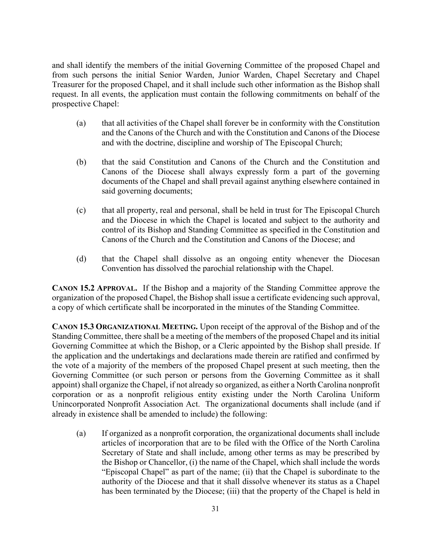and shall identify the members of the initial Governing Committee of the proposed Chapel and from such persons the initial Senior Warden, Junior Warden, Chapel Secretary and Chapel Treasurer for the proposed Chapel, and it shall include such other information as the Bishop shall request. In all events, the application must contain the following commitments on behalf of the prospective Chapel:

- (a) that all activities of the Chapel shall forever be in conformity with the Constitution and the Canons of the Church and with the Constitution and Canons of the Diocese and with the doctrine, discipline and worship of The Episcopal Church;
- (b) that the said Constitution and Canons of the Church and the Constitution and Canons of the Diocese shall always expressly form a part of the governing documents of the Chapel and shall prevail against anything elsewhere contained in said governing documents;
- (c) that all property, real and personal, shall be held in trust for The Episcopal Church and the Diocese in which the Chapel is located and subject to the authority and control of its Bishop and Standing Committee as specified in the Constitution and Canons of the Church and the Constitution and Canons of the Diocese; and
- (d) that the Chapel shall dissolve as an ongoing entity whenever the Diocesan Convention has dissolved the parochial relationship with the Chapel.

**CANON 15.2 APPROVAL.** If the Bishop and a majority of the Standing Committee approve the organization of the proposed Chapel, the Bishop shall issue a certificate evidencing such approval, a copy of which certificate shall be incorporated in the minutes of the Standing Committee.

**CANON 15.3 ORGANIZATIONAL MEETING.** Upon receipt of the approval of the Bishop and of the Standing Committee, there shall be a meeting of the members of the proposed Chapel and its initial Governing Committee at which the Bishop, or a Cleric appointed by the Bishop shall preside. If the application and the undertakings and declarations made therein are ratified and confirmed by the vote of a majority of the members of the proposed Chapel present at such meeting, then the Governing Committee (or such person or persons from the Governing Committee as it shall appoint) shall organize the Chapel, if not already so organized, as either a North Carolina nonprofit corporation or as a nonprofit religious entity existing under the North Carolina Uniform Unincorporated Nonprofit Association Act. The organizational documents shall include (and if already in existence shall be amended to include) the following:

(a) If organized as a nonprofit corporation, the organizational documents shall include articles of incorporation that are to be filed with the Office of the North Carolina Secretary of State and shall include, among other terms as may be prescribed by the Bishop or Chancellor, (i) the name of the Chapel, which shall include the words "Episcopal Chapel" as part of the name; (ii) that the Chapel is subordinate to the authority of the Diocese and that it shall dissolve whenever its status as a Chapel has been terminated by the Diocese; (iii) that the property of the Chapel is held in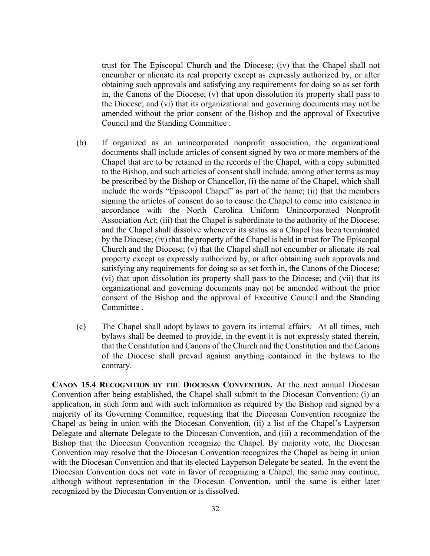trust for The Episcopal Church and the Diocese; (iv) that the Chapel shall not encumber or alienate its real property except as expressly authorized by, or after obtaining such approvals and satisfying any requirements for doing so as set forth in, the Canons of the Diocese; (v) that upon dissolution its property shall pass to the Diocese; and (vi) that its organizational and governing documents may not be amended without the prior consent of the Bishop and the approval of Executive Council and the Standing Committee .

- (b) If organized as an unincorporated nonprofit association, the organizational documents shall include articles of consent signed by two or more members of the Chapel that are to be retained in the records of the Chapel, with a copy submitted to the Bishop, and such articles of consent shall include, among other terms as may be prescribed by the Bishop or Chancellor, (i) the name of the Chapel, which shall include the words "Episcopal Chapel" as part of the name; (ii) that the members signing the articles of consent do so to cause the Chapel to come into existence in accordance with the North Carolina Uniform Unincorporated Nonprofit Association Act; (iii) that the Chapel is subordinate to the authority of the Diocese, and the Chapel shall dissolve whenever its status as a Chapel has been terminated by the Diocese; (iv) that the property of the Chapel is held in trust for The Episcopal Church and the Diocese; (v) that the Chapel shall not encumber or alienate its real property except as expressly authorized by, or after obtaining such approvals and satisfying any requirements for doing so as set forth in, the Canons of the Diocese; (vi) that upon dissolution its property shall pass to the Diocese; and (vii) that its organizational and governing documents may not be amended without the prior consent of the Bishop and the approval of Executive Council and the Standing Committee .
- (c) The Chapel shall adopt bylaws to govern its internal affairs. At all times, such bylaws shall be deemed to provide, in the event it is not expressly stated therein, that the Constitution and Canons of the Church and the Constitution and the Canons of the Diocese shall prevail against anything contained in the bylaws to the contrary.

**CANON 15.4 RECOGNITION BY THE DIOCESAN CONVENTION.** At the next annual Diocesan Convention after being established, the Chapel shall submit to the Diocesan Convention: (i) an application, in such form and with such information as required by the Bishop and signed by a majority of its Governing Committee, requesting that the Diocesan Convention recognize the Chapel as being in union with the Diocesan Convention, (ii) a list of the Chapel's Layperson Delegate and alternate Delegate to the Diocesan Convention, and (iii) a recommendation of the Bishop that the Diocesan Convention recognize the Chapel. By majority vote, the Diocesan Convention may resolve that the Diocesan Convention recognizes the Chapel as being in union with the Diocesan Convention and that its elected Layperson Delegate be seated. In the event the Diocesan Convention does not vote in favor of recognizing a Chapel, the same may continue, although without representation in the Diocesan Convention, until the same is either later recognized by the Diocesan Convention or is dissolved.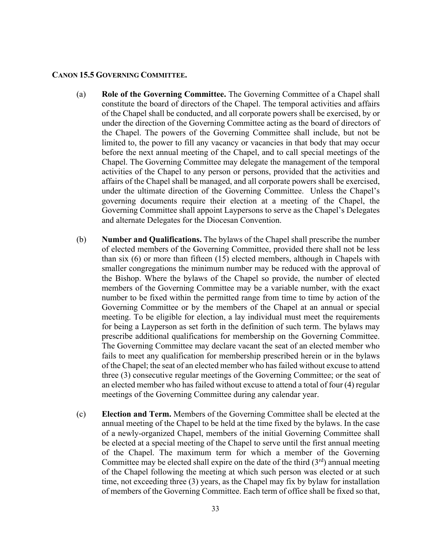#### **CANON 15.5 GOVERNING COMMITTEE.**

- (a) **Role of the Governing Committee.** The Governing Committee of a Chapel shall constitute the board of directors of the Chapel. The temporal activities and affairs of the Chapel shall be conducted, and all corporate powers shall be exercised, by or under the direction of the Governing Committee acting as the board of directors of the Chapel. The powers of the Governing Committee shall include, but not be limited to, the power to fill any vacancy or vacancies in that body that may occur before the next annual meeting of the Chapel, and to call special meetings of the Chapel. The Governing Committee may delegate the management of the temporal activities of the Chapel to any person or persons, provided that the activities and affairs of the Chapel shall be managed, and all corporate powers shall be exercised, under the ultimate direction of the Governing Committee. Unless the Chapel's governing documents require their election at a meeting of the Chapel, the Governing Committee shall appoint Laypersons to serve as the Chapel's Delegates and alternate Delegates for the Diocesan Convention.
- (b) **Number and Qualifications.** The bylaws of the Chapel shall prescribe the number of elected members of the Governing Committee, provided there shall not be less than six (6) or more than fifteen (15) elected members, although in Chapels with smaller congregations the minimum number may be reduced with the approval of the Bishop. Where the bylaws of the Chapel so provide, the number of elected members of the Governing Committee may be a variable number, with the exact number to be fixed within the permitted range from time to time by action of the Governing Committee or by the members of the Chapel at an annual or special meeting. To be eligible for election, a lay individual must meet the requirements for being a Layperson as set forth in the definition of such term. The bylaws may prescribe additional qualifications for membership on the Governing Committee. The Governing Committee may declare vacant the seat of an elected member who fails to meet any qualification for membership prescribed herein or in the bylaws of the Chapel; the seat of an elected member who has failed without excuse to attend three (3) consecutive regular meetings of the Governing Committee; or the seat of an elected member who has failed without excuse to attend a total of four (4) regular meetings of the Governing Committee during any calendar year.
- (c) **Election and Term.** Members of the Governing Committee shall be elected at the annual meeting of the Chapel to be held at the time fixed by the bylaws. In the case of a newly-organized Chapel, members of the initial Governing Committee shall be elected at a special meeting of the Chapel to serve until the first annual meeting of the Chapel. The maximum term for which a member of the Governing Committee may be elected shall expire on the date of the third  $(3<sup>rd</sup>)$  annual meeting of the Chapel following the meeting at which such person was elected or at such time, not exceeding three (3) years, as the Chapel may fix by bylaw for installation of members of the Governing Committee. Each term of office shall be fixed so that,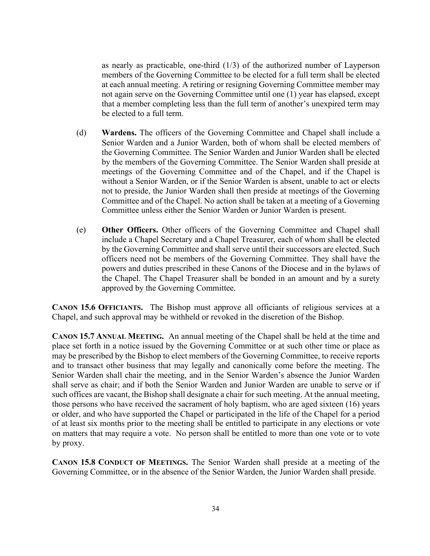as nearly as practicable, one-third (1/3) of the authorized number of Layperson members of the Governing Committee to be elected for a full term shall be elected at each annual meeting. A retiring or resigning Governing Committee member may not again serve on the Governing Committee until one (1) year has elapsed, except that a member completing less than the full term of another's unexpired term may be elected to a full term.

- (d) **Wardens.** The officers of the Governing Committee and Chapel shall include a Senior Warden and a Junior Warden, both of whom shall be elected members of the Governing Committee. The Senior Warden and Junior Warden shall be elected by the members of the Governing Committee. The Senior Warden shall preside at meetings of the Governing Committee and of the Chapel, and if the Chapel is without a Senior Warden, or if the Senior Warden is absent, unable to act or elects not to preside, the Junior Warden shall then preside at meetings of the Governing Committee and of the Chapel. No action shall be taken at a meeting of a Governing Committee unless either the Senior Warden or Junior Warden is present.
- (e) **Other Officers.** Other officers of the Governing Committee and Chapel shall include a Chapel Secretary and a Chapel Treasurer, each of whom shall be elected by the Governing Committee and shall serve until their successors are elected. Such officers need not be members of the Governing Committee. They shall have the powers and duties prescribed in these Canons of the Diocese and in the bylaws of the Chapel. The Chapel Treasurer shall be bonded in an amount and by a surety approved by the Governing Committee.

**CANON 15.6 OFFICIANTS.** The Bishop must approve all officiants of religious services at a Chapel, and such approval may be withheld or revoked in the discretion of the Bishop.

**CANON 15.7 ANNUAL MEETING.** An annual meeting of the Chapel shall be held at the time and place set forth in a notice issued by the Governing Committee or at such other time or place as may be prescribed by the Bishop to elect members of the Governing Committee, to receive reports and to transact other business that may legally and canonically come before the meeting. The Senior Warden shall chair the meeting, and in the Senior Warden's absence the Junior Warden shall serve as chair; and if both the Senior Warden and Junior Warden are unable to serve or if such offices are vacant, the Bishop shall designate a chair for such meeting. At the annual meeting, those persons who have received the sacrament of holy baptism, who are aged sixteen (16) years or older, and who have supported the Chapel or participated in the life of the Chapel for a period of at least six months prior to the meeting shall be entitled to participate in any elections or vote on matters that may require a vote. No person shall be entitled to more than one vote or to vote by proxy.

**CANON 15.8 CONDUCT OF MEETINGS.** The Senior Warden shall preside at a meeting of the Governing Committee, or in the absence of the Senior Warden, the Junior Warden shall preside.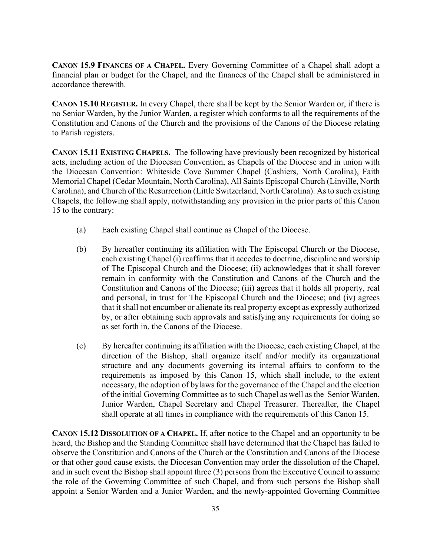**CANON 15.9 FINANCES OF A CHAPEL.** Every Governing Committee of a Chapel shall adopt a financial plan or budget for the Chapel, and the finances of the Chapel shall be administered in accordance therewith.

**CANON 15.10 REGISTER.** In every Chapel, there shall be kept by the Senior Warden or, if there is no Senior Warden, by the Junior Warden, a register which conforms to all the requirements of the Constitution and Canons of the Church and the provisions of the Canons of the Diocese relating to Parish registers.

**CANON 15.11 EXISTING CHAPELS.** The following have previously been recognized by historical acts, including action of the Diocesan Convention, as Chapels of the Diocese and in union with the Diocesan Convention: Whiteside Cove Summer Chapel (Cashiers, North Carolina), Faith Memorial Chapel (Cedar Mountain, North Carolina), All Saints Episcopal Church (Linville, North Carolina), and Church of the Resurrection (Little Switzerland, North Carolina). As to such existing Chapels, the following shall apply, notwithstanding any provision in the prior parts of this Canon 15 to the contrary:

- (a) Each existing Chapel shall continue as Chapel of the Diocese.
- (b) By hereafter continuing its affiliation with The Episcopal Church or the Diocese, each existing Chapel (i) reaffirms that it accedes to doctrine, discipline and worship of The Episcopal Church and the Diocese; (ii) acknowledges that it shall forever remain in conformity with the Constitution and Canons of the Church and the Constitution and Canons of the Diocese; (iii) agrees that it holds all property, real and personal, in trust for The Episcopal Church and the Diocese; and (iv) agrees that it shall not encumber or alienate its real property except as expressly authorized by, or after obtaining such approvals and satisfying any requirements for doing so as set forth in, the Canons of the Diocese.
- (c) By hereafter continuing its affiliation with the Diocese, each existing Chapel, at the direction of the Bishop, shall organize itself and/or modify its organizational structure and any documents governing its internal affairs to conform to the requirements as imposed by this Canon 15, which shall include, to the extent necessary, the adoption of bylaws for the governance of the Chapel and the election of the initial Governing Committee as to such Chapel as well as the Senior Warden, Junior Warden, Chapel Secretary and Chapel Treasurer. Thereafter, the Chapel shall operate at all times in compliance with the requirements of this Canon 15.

**CANON 15.12 DISSOLUTION OF A CHAPEL.** If, after notice to the Chapel and an opportunity to be heard, the Bishop and the Standing Committee shall have determined that the Chapel has failed to observe the Constitution and Canons of the Church or the Constitution and Canons of the Diocese or that other good cause exists, the Diocesan Convention may order the dissolution of the Chapel, and in such event the Bishop shall appoint three (3) persons from the Executive Council to assume the role of the Governing Committee of such Chapel, and from such persons the Bishop shall appoint a Senior Warden and a Junior Warden, and the newly-appointed Governing Committee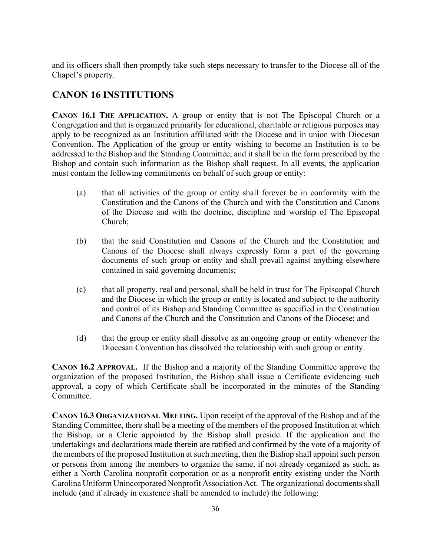and its officers shall then promptly take such steps necessary to transfer to the Diocese all of the Chapel's property.

# **CANON 16 INSTITUTIONS**

**CANON 16.1 THE APPLICATION.** A group or entity that is not The Episcopal Church or a Congregation and that is organized primarily for educational, charitable or religious purposes may apply to be recognized as an Institution affiliated with the Diocese and in union with Diocesan Convention. The Application of the group or entity wishing to become an Institution is to be addressed to the Bishop and the Standing Committee, and it shall be in the form prescribed by the Bishop and contain such information as the Bishop shall request. In all events, the application must contain the following commitments on behalf of such group or entity:

- (a) that all activities of the group or entity shall forever be in conformity with the Constitution and the Canons of the Church and with the Constitution and Canons of the Diocese and with the doctrine, discipline and worship of The Episcopal Church;
- (b) that the said Constitution and Canons of the Church and the Constitution and Canons of the Diocese shall always expressly form a part of the governing documents of such group or entity and shall prevail against anything elsewhere contained in said governing documents;
- (c) that all property, real and personal, shall be held in trust for The Episcopal Church and the Diocese in which the group or entity is located and subject to the authority and control of its Bishop and Standing Committee as specified in the Constitution and Canons of the Church and the Constitution and Canons of the Diocese; and
- (d) that the group or entity shall dissolve as an ongoing group or entity whenever the Diocesan Convention has dissolved the relationship with such group or entity.

**CANON 16.2 APPROVAL.** If the Bishop and a majority of the Standing Committee approve the organization of the proposed Institution, the Bishop shall issue a Certificate evidencing such approval, a copy of which Certificate shall be incorporated in the minutes of the Standing Committee.

**CANON 16.3 ORGANIZATIONAL MEETING.** Upon receipt of the approval of the Bishop and of the Standing Committee, there shall be a meeting of the members of the proposed Institution at which the Bishop, or a Cleric appointed by the Bishop shall preside. If the application and the undertakings and declarations made therein are ratified and confirmed by the vote of a majority of the members of the proposed Institution at such meeting, then the Bishop shall appoint such person or persons from among the members to organize the same, if not already organized as such, as either a North Carolina nonprofit corporation or as a nonprofit entity existing under the North Carolina Uniform Unincorporated Nonprofit Association Act. The organizational documents shall include (and if already in existence shall be amended to include) the following: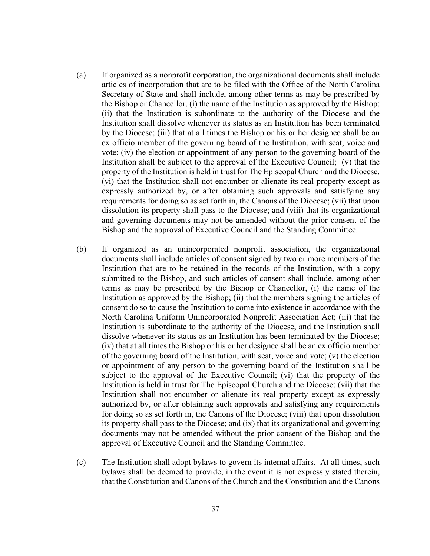- (a) If organized as a nonprofit corporation, the organizational documents shall include articles of incorporation that are to be filed with the Office of the North Carolina Secretary of State and shall include, among other terms as may be prescribed by the Bishop or Chancellor, (i) the name of the Institution as approved by the Bishop; (ii) that the Institution is subordinate to the authority of the Diocese and the Institution shall dissolve whenever its status as an Institution has been terminated by the Diocese; (iii) that at all times the Bishop or his or her designee shall be an ex officio member of the governing board of the Institution, with seat, voice and vote; (iv) the election or appointment of any person to the governing board of the Institution shall be subject to the approval of the Executive Council; (v) that the property of the Institution is held in trust for The Episcopal Church and the Diocese. (vi) that the Institution shall not encumber or alienate its real property except as expressly authorized by, or after obtaining such approvals and satisfying any requirements for doing so as set forth in, the Canons of the Diocese; (vii) that upon dissolution its property shall pass to the Diocese; and (viii) that its organizational and governing documents may not be amended without the prior consent of the Bishop and the approval of Executive Council and the Standing Committee.
- (b) If organized as an unincorporated nonprofit association, the organizational documents shall include articles of consent signed by two or more members of the Institution that are to be retained in the records of the Institution, with a copy submitted to the Bishop, and such articles of consent shall include, among other terms as may be prescribed by the Bishop or Chancellor, (i) the name of the Institution as approved by the Bishop; (ii) that the members signing the articles of consent do so to cause the Institution to come into existence in accordance with the North Carolina Uniform Unincorporated Nonprofit Association Act; (iii) that the Institution is subordinate to the authority of the Diocese, and the Institution shall dissolve whenever its status as an Institution has been terminated by the Diocese; (iv) that at all times the Bishop or his or her designee shall be an ex officio member of the governing board of the Institution, with seat, voice and vote; (v) the election or appointment of any person to the governing board of the Institution shall be subject to the approval of the Executive Council; (vi) that the property of the Institution is held in trust for The Episcopal Church and the Diocese; (vii) that the Institution shall not encumber or alienate its real property except as expressly authorized by, or after obtaining such approvals and satisfying any requirements for doing so as set forth in, the Canons of the Diocese; (viii) that upon dissolution its property shall pass to the Diocese; and (ix) that its organizational and governing documents may not be amended without the prior consent of the Bishop and the approval of Executive Council and the Standing Committee.
- (c) The Institution shall adopt bylaws to govern its internal affairs. At all times, such bylaws shall be deemed to provide, in the event it is not expressly stated therein, that the Constitution and Canons of the Church and the Constitution and the Canons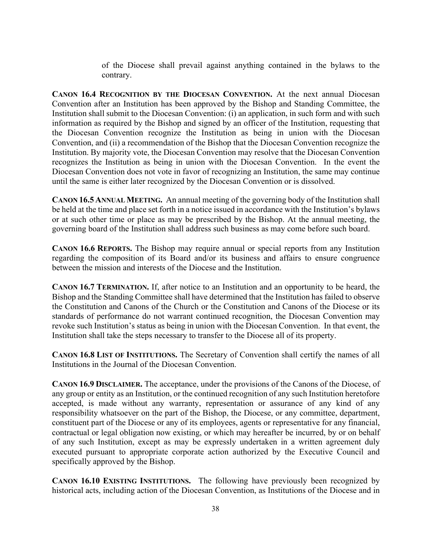of the Diocese shall prevail against anything contained in the bylaws to the contrary.

**CANON 16.4 RECOGNITION BY THE DIOCESAN CONVENTION.** At the next annual Diocesan Convention after an Institution has been approved by the Bishop and Standing Committee, the Institution shall submit to the Diocesan Convention: (i) an application, in such form and with such information as required by the Bishop and signed by an officer of the Institution, requesting that the Diocesan Convention recognize the Institution as being in union with the Diocesan Convention, and (ii) a recommendation of the Bishop that the Diocesan Convention recognize the Institution. By majority vote, the Diocesan Convention may resolve that the Diocesan Convention recognizes the Institution as being in union with the Diocesan Convention. In the event the Diocesan Convention does not vote in favor of recognizing an Institution, the same may continue until the same is either later recognized by the Diocesan Convention or is dissolved.

**CANON 16.5 ANNUAL MEETING.** An annual meeting of the governing body of the Institution shall be held at the time and place set forth in a notice issued in accordance with the Institution's bylaws or at such other time or place as may be prescribed by the Bishop. At the annual meeting, the governing board of the Institution shall address such business as may come before such board.

**CANON 16.6 REPORTS.** The Bishop may require annual or special reports from any Institution regarding the composition of its Board and/or its business and affairs to ensure congruence between the mission and interests of the Diocese and the Institution.

**CANON 16.7 TERMINATION.** If, after notice to an Institution and an opportunity to be heard, the Bishop and the Standing Committee shall have determined that the Institution has failed to observe the Constitution and Canons of the Church or the Constitution and Canons of the Diocese or its standards of performance do not warrant continued recognition, the Diocesan Convention may revoke such Institution's status as being in union with the Diocesan Convention. In that event, the Institution shall take the steps necessary to transfer to the Diocese all of its property.

**CANON 16.8 LIST OF INSTITUTIONS.** The Secretary of Convention shall certify the names of all Institutions in the Journal of the Diocesan Convention.

**CANON 16.9 DISCLAIMER.** The acceptance, under the provisions of the Canons of the Diocese, of any group or entity as an Institution, or the continued recognition of any such Institution heretofore accepted, is made without any warranty, representation or assurance of any kind of any responsibility whatsoever on the part of the Bishop, the Diocese, or any committee, department, constituent part of the Diocese or any of its employees, agents or representative for any financial, contractual or legal obligation now existing, or which may hereafter be incurred, by or on behalf of any such Institution, except as may be expressly undertaken in a written agreement duly executed pursuant to appropriate corporate action authorized by the Executive Council and specifically approved by the Bishop.

**CANON 16.10 EXISTING INSTITUTIONS.** The following have previously been recognized by historical acts, including action of the Diocesan Convention, as Institutions of the Diocese and in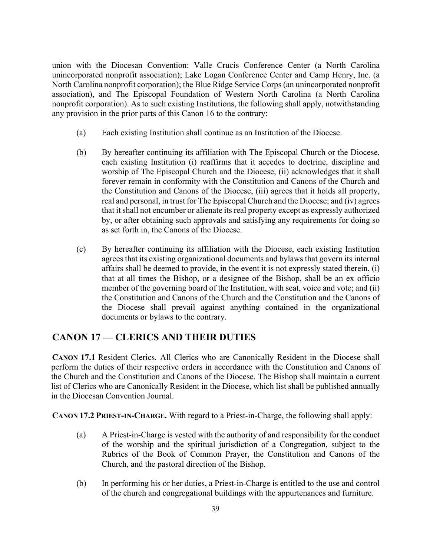union with the Diocesan Convention: Valle Crucis Conference Center (a North Carolina unincorporated nonprofit association); Lake Logan Conference Center and Camp Henry, Inc. (a North Carolina nonprofit corporation); the Blue Ridge Service Corps (an unincorporated nonprofit association), and The Episcopal Foundation of Western North Carolina (a North Carolina nonprofit corporation). As to such existing Institutions, the following shall apply, notwithstanding any provision in the prior parts of this Canon 16 to the contrary:

- (a) Each existing Institution shall continue as an Institution of the Diocese.
- (b) By hereafter continuing its affiliation with The Episcopal Church or the Diocese, each existing Institution (i) reaffirms that it accedes to doctrine, discipline and worship of The Episcopal Church and the Diocese, (ii) acknowledges that it shall forever remain in conformity with the Constitution and Canons of the Church and the Constitution and Canons of the Diocese, (iii) agrees that it holds all property, real and personal, in trust for The Episcopal Church and the Diocese; and (iv) agrees that it shall not encumber or alienate its real property except as expressly authorized by, or after obtaining such approvals and satisfying any requirements for doing so as set forth in, the Canons of the Diocese.
- (c) By hereafter continuing its affiliation with the Diocese, each existing Institution agrees that its existing organizational documents and bylaws that govern its internal affairs shall be deemed to provide, in the event it is not expressly stated therein, (i) that at all times the Bishop, or a designee of the Bishop, shall be an ex officio member of the governing board of the Institution, with seat, voice and vote; and (ii) the Constitution and Canons of the Church and the Constitution and the Canons of the Diocese shall prevail against anything contained in the organizational documents or bylaws to the contrary.

### **CANON 17 — CLERICS AND THEIR DUTIES**

**CANON 17.1** Resident Clerics. All Clerics who are Canonically Resident in the Diocese shall perform the duties of their respective orders in accordance with the Constitution and Canons of the Church and the Constitution and Canons of the Diocese. The Bishop shall maintain a current list of Clerics who are Canonically Resident in the Diocese, which list shall be published annually in the Diocesan Convention Journal.

**CANON 17.2 PRIEST-IN-CHARGE.** With regard to a Priest-in-Charge, the following shall apply:

- (a) A Priest-in-Charge is vested with the authority of and responsibility for the conduct of the worship and the spiritual jurisdiction of a Congregation, subject to the Rubrics of the Book of Common Prayer, the Constitution and Canons of the Church, and the pastoral direction of the Bishop.
- (b) In performing his or her duties, a Priest-in-Charge is entitled to the use and control of the church and congregational buildings with the appurtenances and furniture.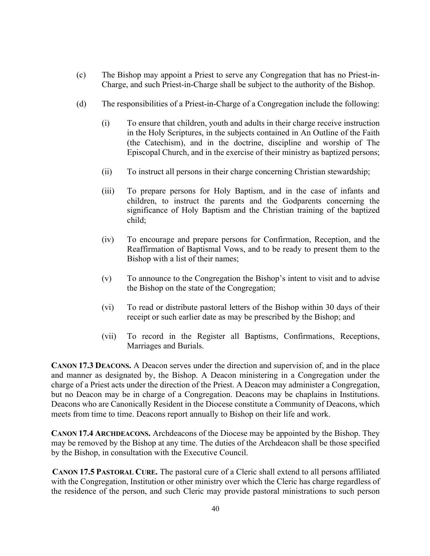- (c) The Bishop may appoint a Priest to serve any Congregation that has no Priest-in-Charge, and such Priest-in-Charge shall be subject to the authority of the Bishop.
- (d) The responsibilities of a Priest-in-Charge of a Congregation include the following:
	- (i) To ensure that children, youth and adults in their charge receive instruction in the Holy Scriptures, in the subjects contained in An Outline of the Faith (the Catechism), and in the doctrine, discipline and worship of The Episcopal Church, and in the exercise of their ministry as baptized persons;
	- (ii) To instruct all persons in their charge concerning Christian stewardship;
	- (iii) To prepare persons for Holy Baptism, and in the case of infants and children, to instruct the parents and the Godparents concerning the significance of Holy Baptism and the Christian training of the baptized child;
	- (iv) To encourage and prepare persons for Confirmation, Reception, and the Reaffirmation of Baptismal Vows, and to be ready to present them to the Bishop with a list of their names;
	- (v) To announce to the Congregation the Bishop's intent to visit and to advise the Bishop on the state of the Congregation;
	- (vi) To read or distribute pastoral letters of the Bishop within 30 days of their receipt or such earlier date as may be prescribed by the Bishop; and
	- (vii) To record in the Register all Baptisms, Confirmations, Receptions, Marriages and Burials.

**CANON 17.3 DEACONS.** A Deacon serves under the direction and supervision of, and in the place and manner as designated by, the Bishop. A Deacon ministering in a Congregation under the charge of a Priest acts under the direction of the Priest. A Deacon may administer a Congregation, but no Deacon may be in charge of a Congregation. Deacons may be chaplains in Institutions. Deacons who are Canonically Resident in the Diocese constitute a Community of Deacons, which meets from time to time. Deacons report annually to Bishop on their life and work.

**CANON 17.4 ARCHDEACONS.** Archdeacons of the Diocese may be appointed by the Bishop. They may be removed by the Bishop at any time. The duties of the Archdeacon shall be those specified by the Bishop, in consultation with the Executive Council.

**CANON 17.5 PASTORAL CURE.** The pastoral cure of a Cleric shall extend to all persons affiliated with the Congregation, Institution or other ministry over which the Cleric has charge regardless of the residence of the person, and such Cleric may provide pastoral ministrations to such person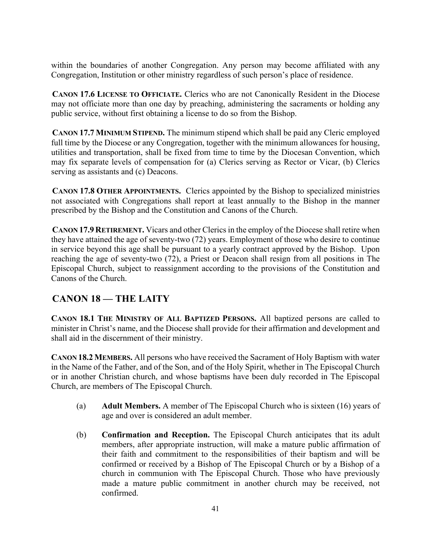within the boundaries of another Congregation. Any person may become affiliated with any Congregation, Institution or other ministry regardless of such person's place of residence.

**CANON 17.6 LICENSE TO OFFICIATE.** Clerics who are not Canonically Resident in the Diocese may not officiate more than one day by preaching, administering the sacraments or holding any public service, without first obtaining a license to do so from the Bishop.

**CANON 17.7 MINIMUM STIPEND.** The minimum stipend which shall be paid any Cleric employed full time by the Diocese or any Congregation, together with the minimum allowances for housing, utilities and transportation, shall be fixed from time to time by the Diocesan Convention, which may fix separate levels of compensation for (a) Clerics serving as Rector or Vicar, (b) Clerics serving as assistants and (c) Deacons.

**CANON 17.8 OTHER APPOINTMENTS.** Clerics appointed by the Bishop to specialized ministries not associated with Congregations shall report at least annually to the Bishop in the manner prescribed by the Bishop and the Constitution and Canons of the Church.

**CANON 17.9 RETIREMENT.** Vicars and other Clerics in the employ of the Diocese shall retire when they have attained the age of seventy-two (72) years. Employment of those who desire to continue in service beyond this age shall be pursuant to a yearly contract approved by the Bishop. Upon reaching the age of seventy-two (72), a Priest or Deacon shall resign from all positions in The Episcopal Church, subject to reassignment according to the provisions of the Constitution and Canons of the Church.

# **CANON 18 — THE LAITY**

**CANON 18.1 THE MINISTRY OF ALL BAPTIZED PERSONS.** All baptized persons are called to minister in Christ's name, and the Diocese shall provide for their affirmation and development and shall aid in the discernment of their ministry.

**CANON 18.2 MEMBERS.** All persons who have received the Sacrament of Holy Baptism with water in the Name of the Father, and of the Son, and of the Holy Spirit, whether in The Episcopal Church or in another Christian church, and whose baptisms have been duly recorded in The Episcopal Church, are members of The Episcopal Church.

- (a) **Adult Members.** A member of The Episcopal Church who is sixteen (16) years of age and over is considered an adult member.
- (b) **Confirmation and Reception.** The Episcopal Church anticipates that its adult members, after appropriate instruction, will make a mature public affirmation of their faith and commitment to the responsibilities of their baptism and will be confirmed or received by a Bishop of The Episcopal Church or by a Bishop of a church in communion with The Episcopal Church. Those who have previously made a mature public commitment in another church may be received, not confirmed.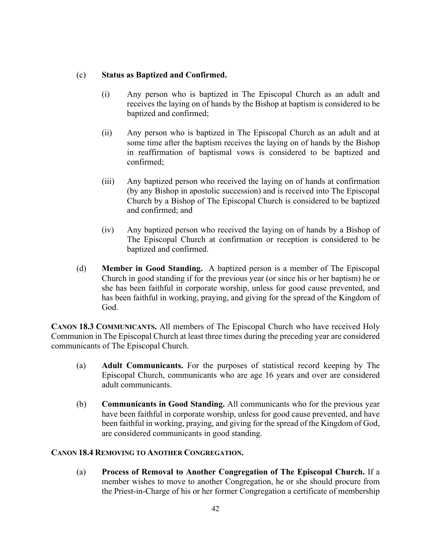#### (c) **Status as Baptized and Confirmed.**

- (i) Any person who is baptized in The Episcopal Church as an adult and receives the laying on of hands by the Bishop at baptism is considered to be baptized and confirmed;
- (ii) Any person who is baptized in The Episcopal Church as an adult and at some time after the baptism receives the laying on of hands by the Bishop in reaffirmation of baptismal vows is considered to be baptized and confirmed;
- (iii) Any baptized person who received the laying on of hands at confirmation (by any Bishop in apostolic succession) and is received into The Episcopal Church by a Bishop of The Episcopal Church is considered to be baptized and confirmed; and
- (iv) Any baptized person who received the laying on of hands by a Bishop of The Episcopal Church at confirmation or reception is considered to be baptized and confirmed.
- (d) **Member in Good Standing.** A baptized person is a member of The Episcopal Church in good standing if for the previous year (or since his or her baptism) he or she has been faithful in corporate worship, unless for good cause prevented, and has been faithful in working, praying, and giving for the spread of the Kingdom of God.

**CANON 18.3 COMMUNICANTS.** All members of The Episcopal Church who have received Holy Communion in The Episcopal Church at least three times during the preceding year are considered communicants of The Episcopal Church.

- (a) **Adult Communicants.** For the purposes of statistical record keeping by The Episcopal Church, communicants who are age 16 years and over are considered adult communicants.
- (b) **Communicants in Good Standing.** All communicants who for the previous year have been faithful in corporate worship, unless for good cause prevented, and have been faithful in working, praying, and giving for the spread of the Kingdom of God, are considered communicants in good standing.

#### **CANON 18.4 REMOVING TO ANOTHER CONGREGATION.**

(a) **Process of Removal to Another Congregation of The Episcopal Church.** If a member wishes to move to another Congregation, he or she should procure from the Priest-in-Charge of his or her former Congregation a certificate of membership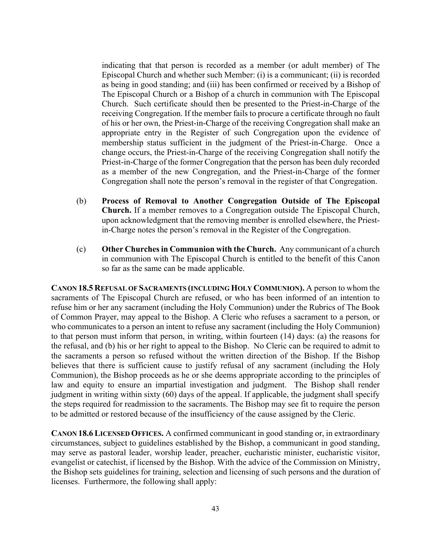indicating that that person is recorded as a member (or adult member) of The Episcopal Church and whether such Member: (i) is a communicant; (ii) is recorded as being in good standing; and (iii) has been confirmed or received by a Bishop of The Episcopal Church or a Bishop of a church in communion with The Episcopal Church. Such certificate should then be presented to the Priest-in-Charge of the receiving Congregation. If the member fails to procure a certificate through no fault of his or her own, the Priest-in-Charge of the receiving Congregation shall make an appropriate entry in the Register of such Congregation upon the evidence of membership status sufficient in the judgment of the Priest-in-Charge. Once a change occurs, the Priest-in-Charge of the receiving Congregation shall notify the Priest-in-Charge of the former Congregation that the person has been duly recorded as a member of the new Congregation, and the Priest-in-Charge of the former Congregation shall note the person's removal in the register of that Congregation.

- (b) **Process of Removal to Another Congregation Outside of The Episcopal Church.** If a member removes to a Congregation outside The Episcopal Church, upon acknowledgment that the removing member is enrolled elsewhere, the Priestin-Charge notes the person's removal in the Register of the Congregation.
- (c) **Other Churches in Communion with the Church.** Any communicant of a church in communion with The Episcopal Church is entitled to the benefit of this Canon so far as the same can be made applicable.

**CANON 18.5 REFUSAL OF SACRAMENTS (INCLUDING HOLY COMMUNION).** A person to whom the sacraments of The Episcopal Church are refused, or who has been informed of an intention to refuse him or her any sacrament (including the Holy Communion) under the Rubrics of The Book of Common Prayer, may appeal to the Bishop. A Cleric who refuses a sacrament to a person, or who communicates to a person an intent to refuse any sacrament (including the Holy Communion) to that person must inform that person, in writing, within fourteen (14) days: (a) the reasons for the refusal, and (b) his or her right to appeal to the Bishop. No Cleric can be required to admit to the sacraments a person so refused without the written direction of the Bishop. If the Bishop believes that there is sufficient cause to justify refusal of any sacrament (including the Holy Communion), the Bishop proceeds as he or she deems appropriate according to the principles of law and equity to ensure an impartial investigation and judgment. The Bishop shall render judgment in writing within sixty (60) days of the appeal. If applicable, the judgment shall specify the steps required for readmission to the sacraments. The Bishop may see fit to require the person to be admitted or restored because of the insufficiency of the cause assigned by the Cleric.

**CANON 18.6 LICENSED OFFICES.** A confirmed communicant in good standing or, in extraordinary circumstances, subject to guidelines established by the Bishop, a communicant in good standing, may serve as pastoral leader, worship leader, preacher, eucharistic minister, eucharistic visitor, evangelist or catechist, if licensed by the Bishop. With the advice of the Commission on Ministry, the Bishop sets guidelines for training, selection and licensing of such persons and the duration of licenses. Furthermore, the following shall apply: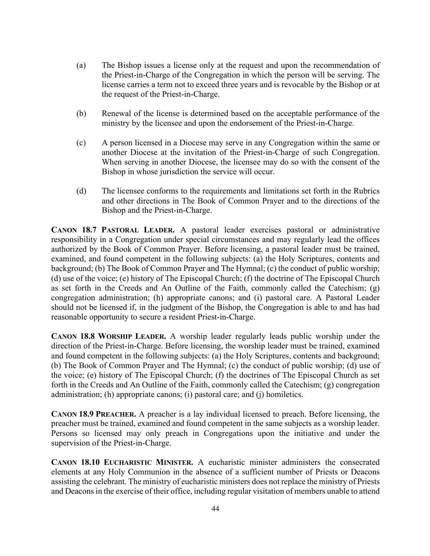- (a) The Bishop issues a license only at the request and upon the recommendation of the Priest-in-Charge of the Congregation in which the person will be serving. The license carries a term not to exceed three years and is revocable by the Bishop or at the request of the Priest-in-Charge.
- (b) Renewal of the license is determined based on the acceptable performance of the ministry by the licensee and upon the endorsement of the Priest-in-Charge.
- (c) A person licensed in a Diocese may serve in any Congregation within the same or another Diocese at the invitation of the Priest-in-Charge of such Congregation. When serving in another Diocese, the licensee may do so with the consent of the Bishop in whose jurisdiction the service will occur.
- (d) The licensee conforms to the requirements and limitations set forth in the Rubrics and other directions in The Book of Common Prayer and to the directions of the Bishop and the Priest-in-Charge.

**CANON 18.7 PASTORAL LEADER.** A pastoral leader exercises pastoral or administrative responsibility in a Congregation under special circumstances and may regularly lead the offices authorized by the Book of Common Prayer. Before licensing, a pastoral leader must be trained, examined, and found competent in the following subjects: (a) the Holy Scriptures, contents and background; (b) The Book of Common Prayer and The Hymnal; (c) the conduct of public worship; (d) use of the voice; (e) history of The Episcopal Church; (f) the doctrine of The Episcopal Church as set forth in the Creeds and An Outline of the Faith, commonly called the Catechism; (g) congregation administration; (h) appropriate canons; and (i) pastoral care. A Pastoral Leader should not be licensed if, in the judgment of the Bishop, the Congregation is able to and has had reasonable opportunity to secure a resident Priest-in-Charge.

**CANON 18.8 WORSHIP LEADER.** A worship leader regularly leads public worship under the direction of the Priest-in-Charge. Before licensing, the worship leader must be trained, examined and found competent in the following subjects: (a) the Holy Scriptures, contents and background; (b) The Book of Common Prayer and The Hymnal; (c) the conduct of public worship; (d) use of the voice; (e) history of The Episcopal Church; (f) the doctrines of The Episcopal Church as set forth in the Creeds and An Outline of the Faith, commonly called the Catechism; (g) congregation administration; (h) appropriate canons; (i) pastoral care; and (j) homiletics.

**CANON 18.9 PREACHER.** A preacher is a lay individual licensed to preach. Before licensing, the preacher must be trained, examined and found competent in the same subjects as a worship leader. Persons so licensed may only preach in Congregations upon the initiative and under the supervision of the Priest-in-Charge.

**CANON 18.10 EUCHARISTIC MINISTER.** A eucharistic minister administers the consecrated elements at any Holy Communion in the absence of a sufficient number of Priests or Deacons assisting the celebrant. The ministry of eucharistic ministers does not replace the ministry of Priests and Deacons in the exercise of their office, including regular visitation of members unable to attend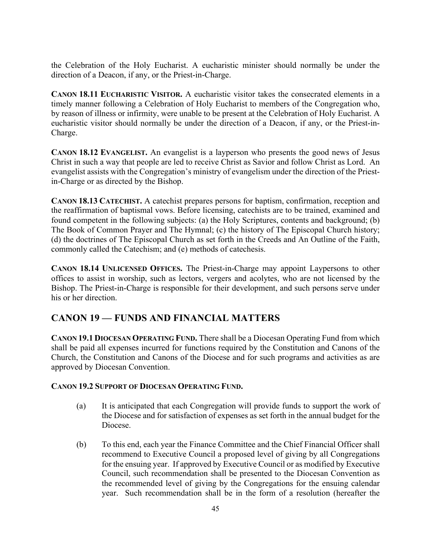the Celebration of the Holy Eucharist. A eucharistic minister should normally be under the direction of a Deacon, if any, or the Priest-in-Charge.

**CANON 18.11 EUCHARISTIC VISITOR.** A eucharistic visitor takes the consecrated elements in a timely manner following a Celebration of Holy Eucharist to members of the Congregation who, by reason of illness or infirmity, were unable to be present at the Celebration of Holy Eucharist. A eucharistic visitor should normally be under the direction of a Deacon, if any, or the Priest-in-Charge.

**CANON 18.12 EVANGELIST.** An evangelist is a layperson who presents the good news of Jesus Christ in such a way that people are led to receive Christ as Savior and follow Christ as Lord. An evangelist assists with the Congregation's ministry of evangelism under the direction of the Priestin-Charge or as directed by the Bishop.

**CANON 18.13 CATECHIST.** A catechist prepares persons for baptism, confirmation, reception and the reaffirmation of baptismal vows. Before licensing, catechists are to be trained, examined and found competent in the following subjects: (a) the Holy Scriptures, contents and background; (b) The Book of Common Prayer and The Hymnal; (c) the history of The Episcopal Church history; (d) the doctrines of The Episcopal Church as set forth in the Creeds and An Outline of the Faith, commonly called the Catechism; and (e) methods of catechesis.

**CANON 18.14 UNLICENSED OFFICES.** The Priest-in-Charge may appoint Laypersons to other offices to assist in worship, such as lectors, vergers and acolytes, who are not licensed by the Bishop. The Priest-in-Charge is responsible for their development, and such persons serve under his or her direction.

### **CANON 19 — FUNDS AND FINANCIAL MATTERS**

**CANON 19.1 DIOCESAN OPERATING FUND.** There shall be a Diocesan Operating Fund from which shall be paid all expenses incurred for functions required by the Constitution and Canons of the Church, the Constitution and Canons of the Diocese and for such programs and activities as are approved by Diocesan Convention.

#### **CANON 19.2 SUPPORT OF DIOCESAN OPERATING FUND.**

- (a) It is anticipated that each Congregation will provide funds to support the work of the Diocese and for satisfaction of expenses as set forth in the annual budget for the Diocese.
- (b) To this end, each year the Finance Committee and the Chief Financial Officer shall recommend to Executive Council a proposed level of giving by all Congregations for the ensuing year. If approved by Executive Council or as modified by Executive Council, such recommendation shall be presented to the Diocesan Convention as the recommended level of giving by the Congregations for the ensuing calendar year. Such recommendation shall be in the form of a resolution (hereafter the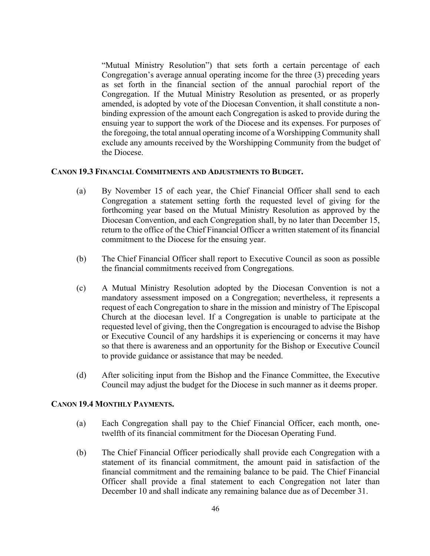"Mutual Ministry Resolution") that sets forth a certain percentage of each Congregation's average annual operating income for the three (3) preceding years as set forth in the financial section of the annual parochial report of the Congregation. If the Mutual Ministry Resolution as presented, or as properly amended, is adopted by vote of the Diocesan Convention, it shall constitute a nonbinding expression of the amount each Congregation is asked to provide during the ensuing year to support the work of the Diocese and its expenses. For purposes of the foregoing, the total annual operating income of a Worshipping Community shall exclude any amounts received by the Worshipping Community from the budget of the Diocese.

#### **CANON 19.3 FINANCIAL COMMITMENTS AND ADJUSTMENTS TO BUDGET.**

- (a) By November 15 of each year, the Chief Financial Officer shall send to each Congregation a statement setting forth the requested level of giving for the forthcoming year based on the Mutual Ministry Resolution as approved by the Diocesan Convention, and each Congregation shall, by no later than December 15, return to the office of the Chief Financial Officer a written statement of its financial commitment to the Diocese for the ensuing year.
- (b) The Chief Financial Officer shall report to Executive Council as soon as possible the financial commitments received from Congregations.
- (c) A Mutual Ministry Resolution adopted by the Diocesan Convention is not a mandatory assessment imposed on a Congregation; nevertheless, it represents a request of each Congregation to share in the mission and ministry of The Episcopal Church at the diocesan level. If a Congregation is unable to participate at the requested level of giving, then the Congregation is encouraged to advise the Bishop or Executive Council of any hardships it is experiencing or concerns it may have so that there is awareness and an opportunity for the Bishop or Executive Council to provide guidance or assistance that may be needed.
- (d) After soliciting input from the Bishop and the Finance Committee, the Executive Council may adjust the budget for the Diocese in such manner as it deems proper.

#### **CANON 19.4 MONTHLY PAYMENTS.**

- (a) Each Congregation shall pay to the Chief Financial Officer, each month, onetwelfth of its financial commitment for the Diocesan Operating Fund.
- (b) The Chief Financial Officer periodically shall provide each Congregation with a statement of its financial commitment, the amount paid in satisfaction of the financial commitment and the remaining balance to be paid. The Chief Financial Officer shall provide a final statement to each Congregation not later than December 10 and shall indicate any remaining balance due as of December 31.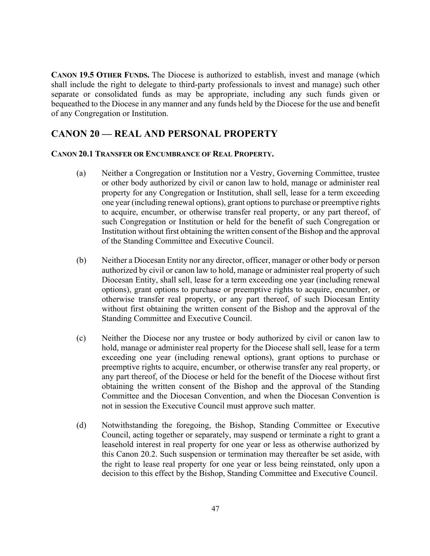**CANON 19.5 OTHER FUNDS.** The Diocese is authorized to establish, invest and manage (which shall include the right to delegate to third-party professionals to invest and manage) such other separate or consolidated funds as may be appropriate, including any such funds given or bequeathed to the Diocese in any manner and any funds held by the Diocese for the use and benefit of any Congregation or Institution.

#### **CANON 20 — REAL AND PERSONAL PROPERTY**

#### **CANON 20.1 TRANSFER OR ENCUMBRANCE OF REAL PROPERTY.**

- (a) Neither a Congregation or Institution nor a Vestry, Governing Committee, trustee or other body authorized by civil or canon law to hold, manage or administer real property for any Congregation or Institution, shall sell, lease for a term exceeding one year (including renewal options), grant options to purchase or preemptive rights to acquire, encumber, or otherwise transfer real property, or any part thereof, of such Congregation or Institution or held for the benefit of such Congregation or Institution without first obtaining the written consent of the Bishop and the approval of the Standing Committee and Executive Council.
- (b) Neither a Diocesan Entity nor any director, officer, manager or other body or person authorized by civil or canon law to hold, manage or administer real property of such Diocesan Entity, shall sell, lease for a term exceeding one year (including renewal options), grant options to purchase or preemptive rights to acquire, encumber, or otherwise transfer real property, or any part thereof, of such Diocesan Entity without first obtaining the written consent of the Bishop and the approval of the Standing Committee and Executive Council.
- (c) Neither the Diocese nor any trustee or body authorized by civil or canon law to hold, manage or administer real property for the Diocese shall sell, lease for a term exceeding one year (including renewal options), grant options to purchase or preemptive rights to acquire, encumber, or otherwise transfer any real property, or any part thereof, of the Diocese or held for the benefit of the Diocese without first obtaining the written consent of the Bishop and the approval of the Standing Committee and the Diocesan Convention, and when the Diocesan Convention is not in session the Executive Council must approve such matter.
- (d) Notwithstanding the foregoing, the Bishop, Standing Committee or Executive Council, acting together or separately, may suspend or terminate a right to grant a leasehold interest in real property for one year or less as otherwise authorized by this Canon 20.2. Such suspension or termination may thereafter be set aside, with the right to lease real property for one year or less being reinstated, only upon a decision to this effect by the Bishop, Standing Committee and Executive Council.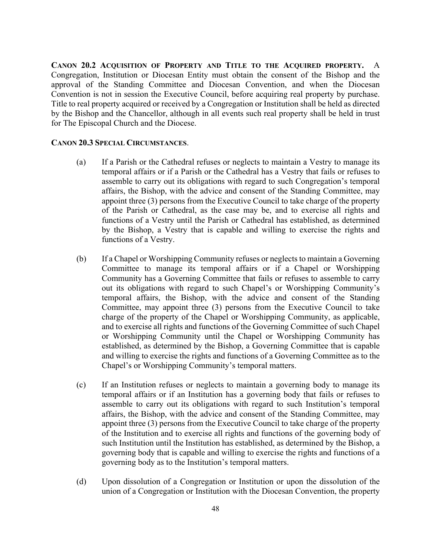**CANON 20.2 ACQUISITION OF PROPERTY AND TITLE TO THE ACQUIRED PROPERTY.** A Congregation, Institution or Diocesan Entity must obtain the consent of the Bishop and the approval of the Standing Committee and Diocesan Convention, and when the Diocesan Convention is not in session the Executive Council, before acquiring real property by purchase. Title to real property acquired or received by a Congregation or Institution shall be held as directed by the Bishop and the Chancellor, although in all events such real property shall be held in trust for The Episcopal Church and the Diocese.

#### **CANON 20.3 SPECIAL CIRCUMSTANCES**.

- (a) If a Parish or the Cathedral refuses or neglects to maintain a Vestry to manage its temporal affairs or if a Parish or the Cathedral has a Vestry that fails or refuses to assemble to carry out its obligations with regard to such Congregation's temporal affairs, the Bishop, with the advice and consent of the Standing Committee, may appoint three (3) persons from the Executive Council to take charge of the property of the Parish or Cathedral, as the case may be, and to exercise all rights and functions of a Vestry until the Parish or Cathedral has established, as determined by the Bishop, a Vestry that is capable and willing to exercise the rights and functions of a Vestry.
- (b) If a Chapel or Worshipping Community refuses or neglects to maintain a Governing Committee to manage its temporal affairs or if a Chapel or Worshipping Community has a Governing Committee that fails or refuses to assemble to carry out its obligations with regard to such Chapel's or Worshipping Community's temporal affairs, the Bishop, with the advice and consent of the Standing Committee, may appoint three (3) persons from the Executive Council to take charge of the property of the Chapel or Worshipping Community, as applicable, and to exercise all rights and functions of the Governing Committee of such Chapel or Worshipping Community until the Chapel or Worshipping Community has established, as determined by the Bishop, a Governing Committee that is capable and willing to exercise the rights and functions of a Governing Committee as to the Chapel's or Worshipping Community's temporal matters.
- (c) If an Institution refuses or neglects to maintain a governing body to manage its temporal affairs or if an Institution has a governing body that fails or refuses to assemble to carry out its obligations with regard to such Institution's temporal affairs, the Bishop, with the advice and consent of the Standing Committee, may appoint three (3) persons from the Executive Council to take charge of the property of the Institution and to exercise all rights and functions of the governing body of such Institution until the Institution has established, as determined by the Bishop, a governing body that is capable and willing to exercise the rights and functions of a governing body as to the Institution's temporal matters.
- (d) Upon dissolution of a Congregation or Institution or upon the dissolution of the union of a Congregation or Institution with the Diocesan Convention, the property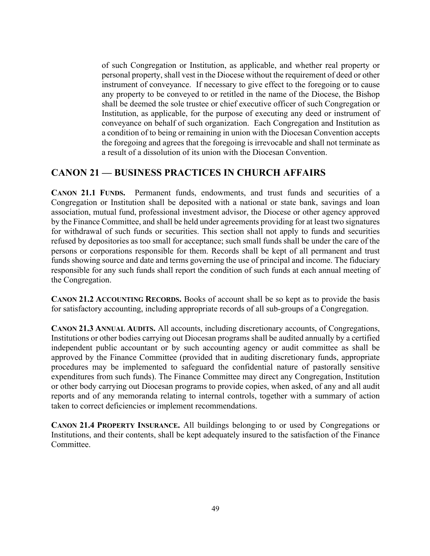of such Congregation or Institution, as applicable, and whether real property or personal property, shall vest in the Diocese without the requirement of deed or other instrument of conveyance. If necessary to give effect to the foregoing or to cause any property to be conveyed to or retitled in the name of the Diocese, the Bishop shall be deemed the sole trustee or chief executive officer of such Congregation or Institution, as applicable, for the purpose of executing any deed or instrument of conveyance on behalf of such organization. Each Congregation and Institution as a condition of to being or remaining in union with the Diocesan Convention accepts the foregoing and agrees that the foregoing is irrevocable and shall not terminate as a result of a dissolution of its union with the Diocesan Convention.

### **CANON 21 — BUSINESS PRACTICES IN CHURCH AFFAIRS**

**CANON 21.1 FUNDS.** Permanent funds, endowments, and trust funds and securities of a Congregation or Institution shall be deposited with a national or state bank, savings and loan association, mutual fund, professional investment advisor, the Diocese or other agency approved by the Finance Committee, and shall be held under agreements providing for at least two signatures for withdrawal of such funds or securities. This section shall not apply to funds and securities refused by depositories as too small for acceptance; such small funds shall be under the care of the persons or corporations responsible for them. Records shall be kept of all permanent and trust funds showing source and date and terms governing the use of principal and income. The fiduciary responsible for any such funds shall report the condition of such funds at each annual meeting of the Congregation.

**CANON 21.2 ACCOUNTING RECORDS.** Books of account shall be so kept as to provide the basis for satisfactory accounting, including appropriate records of all sub-groups of a Congregation.

**CANON 21.3 ANNUAL AUDITS.** All accounts, including discretionary accounts, of Congregations, Institutions or other bodies carrying out Diocesan programs shall be audited annually by a certified independent public accountant or by such accounting agency or audit committee as shall be approved by the Finance Committee (provided that in auditing discretionary funds, appropriate procedures may be implemented to safeguard the confidential nature of pastorally sensitive expenditures from such funds). The Finance Committee may direct any Congregation, Institution or other body carrying out Diocesan programs to provide copies, when asked, of any and all audit reports and of any memoranda relating to internal controls, together with a summary of action taken to correct deficiencies or implement recommendations.

**CANON 21.4 PROPERTY INSURANCE.** All buildings belonging to or used by Congregations or Institutions, and their contents, shall be kept adequately insured to the satisfaction of the Finance Committee.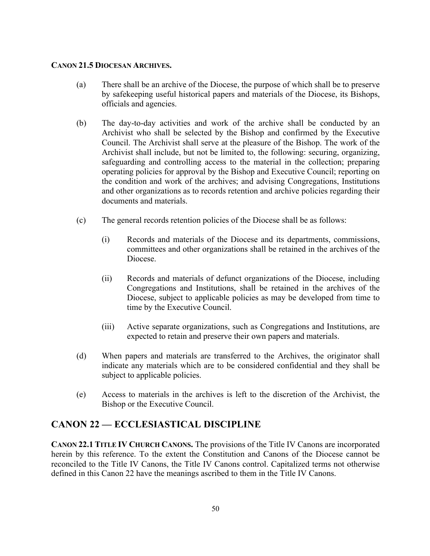#### **CANON 21.5 DIOCESAN ARCHIVES.**

- (a) There shall be an archive of the Diocese, the purpose of which shall be to preserve by safekeeping useful historical papers and materials of the Diocese, its Bishops, officials and agencies.
- (b) The day-to-day activities and work of the archive shall be conducted by an Archivist who shall be selected by the Bishop and confirmed by the Executive Council. The Archivist shall serve at the pleasure of the Bishop. The work of the Archivist shall include, but not be limited to, the following: securing, organizing, safeguarding and controlling access to the material in the collection; preparing operating policies for approval by the Bishop and Executive Council; reporting on the condition and work of the archives; and advising Congregations, Institutions and other organizations as to records retention and archive policies regarding their documents and materials.
- (c) The general records retention policies of the Diocese shall be as follows:
	- (i) Records and materials of the Diocese and its departments, commissions, committees and other organizations shall be retained in the archives of the Diocese.
	- (ii) Records and materials of defunct organizations of the Diocese, including Congregations and Institutions, shall be retained in the archives of the Diocese, subject to applicable policies as may be developed from time to time by the Executive Council.
	- (iii) Active separate organizations, such as Congregations and Institutions, are expected to retain and preserve their own papers and materials.
- (d) When papers and materials are transferred to the Archives, the originator shall indicate any materials which are to be considered confidential and they shall be subject to applicable policies.
- (e) Access to materials in the archives is left to the discretion of the Archivist, the Bishop or the Executive Council.

#### **CANON 22 — ECCLESIASTICAL DISCIPLINE**

**CANON 22.1 TITLE IV CHURCH CANONS.** The provisions of the Title IV Canons are incorporated herein by this reference. To the extent the Constitution and Canons of the Diocese cannot be reconciled to the Title IV Canons, the Title IV Canons control. Capitalized terms not otherwise defined in this Canon 22 have the meanings ascribed to them in the Title IV Canons.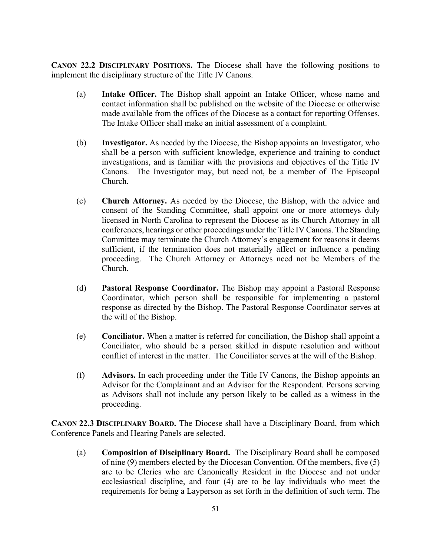**CANON 22.2 DISCIPLINARY POSITIONS.** The Diocese shall have the following positions to implement the disciplinary structure of the Title IV Canons.

- (a) **Intake Officer.** The Bishop shall appoint an Intake Officer, whose name and contact information shall be published on the website of the Diocese or otherwise made available from the offices of the Diocese as a contact for reporting Offenses. The Intake Officer shall make an initial assessment of a complaint.
- (b) **Investigator.** As needed by the Diocese, the Bishop appoints an Investigator, who shall be a person with sufficient knowledge, experience and training to conduct investigations, and is familiar with the provisions and objectives of the Title IV Canons. The Investigator may, but need not, be a member of The Episcopal Church.
- (c) **Church Attorney.** As needed by the Diocese, the Bishop, with the advice and consent of the Standing Committee, shall appoint one or more attorneys duly licensed in North Carolina to represent the Diocese as its Church Attorney in all conferences, hearings or other proceedings under the Title IV Canons. The Standing Committee may terminate the Church Attorney's engagement for reasons it deems sufficient, if the termination does not materially affect or influence a pending proceeding. The Church Attorney or Attorneys need not be Members of the Church.
- (d) **Pastoral Response Coordinator.** The Bishop may appoint a Pastoral Response Coordinator, which person shall be responsible for implementing a pastoral response as directed by the Bishop. The Pastoral Response Coordinator serves at the will of the Bishop.
- (e) **Conciliator.** When a matter is referred for conciliation, the Bishop shall appoint a Conciliator, who should be a person skilled in dispute resolution and without conflict of interest in the matter. The Conciliator serves at the will of the Bishop.
- (f) **Advisors.** In each proceeding under the Title IV Canons, the Bishop appoints an Advisor for the Complainant and an Advisor for the Respondent. Persons serving as Advisors shall not include any person likely to be called as a witness in the proceeding.

**CANON 22.3 DISCIPLINARY BOARD.** The Diocese shall have a Disciplinary Board, from which Conference Panels and Hearing Panels are selected.

(a) **Composition of Disciplinary Board.** The Disciplinary Board shall be composed of nine (9) members elected by the Diocesan Convention. Of the members, five (5) are to be Clerics who are Canonically Resident in the Diocese and not under ecclesiastical discipline, and four (4) are to be lay individuals who meet the requirements for being a Layperson as set forth in the definition of such term. The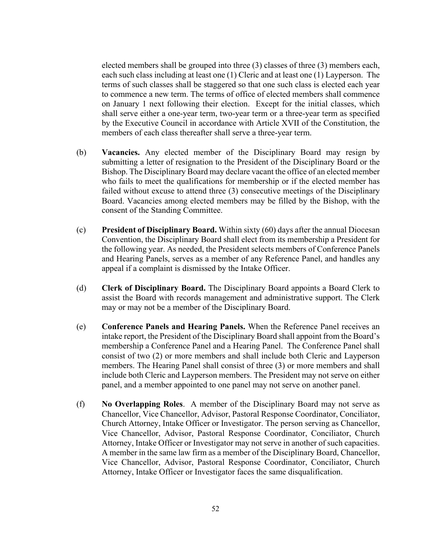elected members shall be grouped into three (3) classes of three (3) members each, each such class including at least one (1) Cleric and at least one (1) Layperson. The terms of such classes shall be staggered so that one such class is elected each year to commence a new term. The terms of office of elected members shall commence on January 1 next following their election. Except for the initial classes, which shall serve either a one-year term, two-year term or a three-year term as specified by the Executive Council in accordance with Article XVII of the Constitution, the members of each class thereafter shall serve a three-year term.

- (b) **Vacancies.** Any elected member of the Disciplinary Board may resign by submitting a letter of resignation to the President of the Disciplinary Board or the Bishop. The Disciplinary Board may declare vacant the office of an elected member who fails to meet the qualifications for membership or if the elected member has failed without excuse to attend three (3) consecutive meetings of the Disciplinary Board. Vacancies among elected members may be filled by the Bishop, with the consent of the Standing Committee.
- (c) **President of Disciplinary Board.** Within sixty (60) days after the annual Diocesan Convention, the Disciplinary Board shall elect from its membership a President for the following year. As needed, the President selects members of Conference Panels and Hearing Panels, serves as a member of any Reference Panel, and handles any appeal if a complaint is dismissed by the Intake Officer.
- (d) **Clerk of Disciplinary Board.** The Disciplinary Board appoints a Board Clerk to assist the Board with records management and administrative support. The Clerk may or may not be a member of the Disciplinary Board.
- (e) **Conference Panels and Hearing Panels.** When the Reference Panel receives an intake report, the President of the Disciplinary Board shall appoint from the Board's membership a Conference Panel and a Hearing Panel. The Conference Panel shall consist of two (2) or more members and shall include both Cleric and Layperson members. The Hearing Panel shall consist of three (3) or more members and shall include both Cleric and Layperson members. The President may not serve on either panel, and a member appointed to one panel may not serve on another panel.
- (f) **No Overlapping Roles**. A member of the Disciplinary Board may not serve as Chancellor, Vice Chancellor, Advisor, Pastoral Response Coordinator, Conciliator, Church Attorney, Intake Officer or Investigator. The person serving as Chancellor, Vice Chancellor, Advisor, Pastoral Response Coordinator, Conciliator, Church Attorney, Intake Officer or Investigator may not serve in another of such capacities. A member in the same law firm as a member of the Disciplinary Board, Chancellor, Vice Chancellor, Advisor, Pastoral Response Coordinator, Conciliator, Church Attorney, Intake Officer or Investigator faces the same disqualification.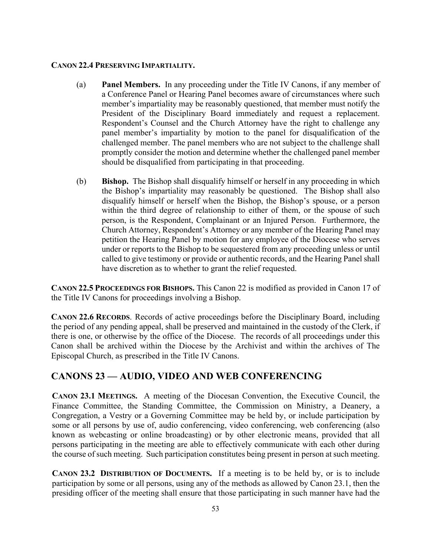#### **CANON 22.4 PRESERVING IMPARTIALITY.**

- (a) **Panel Members.** In any proceeding under the Title IV Canons, if any member of a Conference Panel or Hearing Panel becomes aware of circumstances where such member's impartiality may be reasonably questioned, that member must notify the President of the Disciplinary Board immediately and request a replacement. Respondent's Counsel and the Church Attorney have the right to challenge any panel member's impartiality by motion to the panel for disqualification of the challenged member. The panel members who are not subject to the challenge shall promptly consider the motion and determine whether the challenged panel member should be disqualified from participating in that proceeding.
- (b) **Bishop.** The Bishop shall disqualify himself or herself in any proceeding in which the Bishop's impartiality may reasonably be questioned. The Bishop shall also disqualify himself or herself when the Bishop, the Bishop's spouse, or a person within the third degree of relationship to either of them, or the spouse of such person, is the Respondent, Complainant or an Injured Person. Furthermore, the Church Attorney, Respondent's Attorney or any member of the Hearing Panel may petition the Hearing Panel by motion for any employee of the Diocese who serves under or reports to the Bishop to be sequestered from any proceeding unless or until called to give testimony or provide or authentic records, and the Hearing Panel shall have discretion as to whether to grant the relief requested.

**CANON 22.5 PROCEEDINGS FOR BISHOPS.** This Canon 22 is modified as provided in Canon 17 of the Title IV Canons for proceedings involving a Bishop.

**CANON 22.6 RECORDS**. Records of active proceedings before the Disciplinary Board, including the period of any pending appeal, shall be preserved and maintained in the custody of the Clerk, if there is one, or otherwise by the office of the Diocese. The records of all proceedings under this Canon shall be archived within the Diocese by the Archivist and within the archives of The Episcopal Church, as prescribed in the Title IV Canons.

### **CANONS 23 — AUDIO, VIDEO AND WEB CONFERENCING**

**CANON 23.1 MEETINGS.** A meeting of the Diocesan Convention, the Executive Council, the Finance Committee, the Standing Committee, the Commission on Ministry, a Deanery, a Congregation, a Vestry or a Governing Committee may be held by, or include participation by some or all persons by use of, audio conferencing, video conferencing, web conferencing (also known as webcasting or online broadcasting) or by other electronic means, provided that all persons participating in the meeting are able to effectively communicate with each other during the course of such meeting. Such participation constitutes being present in person at such meeting.

**CANON 23.2 DISTRIBUTION OF DOCUMENTS.** If a meeting is to be held by, or is to include participation by some or all persons, using any of the methods as allowed by Canon 23.1, then the presiding officer of the meeting shall ensure that those participating in such manner have had the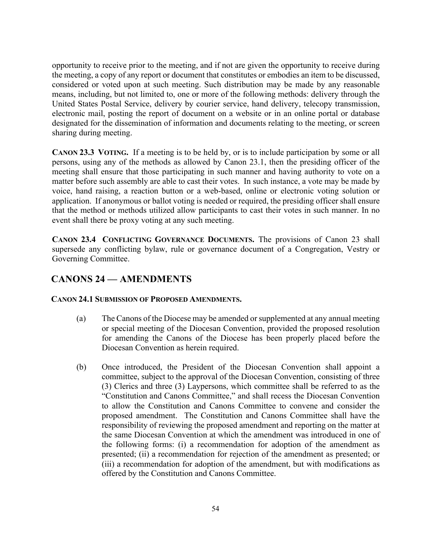opportunity to receive prior to the meeting, and if not are given the opportunity to receive during the meeting, a copy of any report or document that constitutes or embodies an item to be discussed, considered or voted upon at such meeting. Such distribution may be made by any reasonable means, including, but not limited to, one or more of the following methods: delivery through the United States Postal Service, delivery by courier service, hand delivery, telecopy transmission, electronic mail, posting the report of document on a website or in an online portal or database designated for the dissemination of information and documents relating to the meeting, or screen sharing during meeting.

**CANON 23.3 VOTING.** If a meeting is to be held by, or is to include participation by some or all persons, using any of the methods as allowed by Canon 23.1, then the presiding officer of the meeting shall ensure that those participating in such manner and having authority to vote on a matter before such assembly are able to cast their votes. In such instance, a vote may be made by voice, hand raising, a reaction button or a web-based, online or electronic voting solution or application. If anonymous or ballot voting is needed or required, the presiding officer shall ensure that the method or methods utilized allow participants to cast their votes in such manner. In no event shall there be proxy voting at any such meeting.

**CANON 23.4 CONFLICTING GOVERNANCE DOCUMENTS.** The provisions of Canon 23 shall supersede any conflicting bylaw, rule or governance document of a Congregation, Vestry or Governing Committee.

# **CANONS 24 — AMENDMENTS**

#### **CANON 24.1 SUBMISSION OF PROPOSED AMENDMENTS.**

- (a) The Canons of the Diocese may be amended or supplemented at any annual meeting or special meeting of the Diocesan Convention, provided the proposed resolution for amending the Canons of the Diocese has been properly placed before the Diocesan Convention as herein required.
- (b) Once introduced, the President of the Diocesan Convention shall appoint a committee, subject to the approval of the Diocesan Convention, consisting of three (3) Clerics and three (3) Laypersons, which committee shall be referred to as the "Constitution and Canons Committee," and shall recess the Diocesan Convention to allow the Constitution and Canons Committee to convene and consider the proposed amendment. The Constitution and Canons Committee shall have the responsibility of reviewing the proposed amendment and reporting on the matter at the same Diocesan Convention at which the amendment was introduced in one of the following forms: (i) a recommendation for adoption of the amendment as presented; (ii) a recommendation for rejection of the amendment as presented; or (iii) a recommendation for adoption of the amendment, but with modifications as offered by the Constitution and Canons Committee.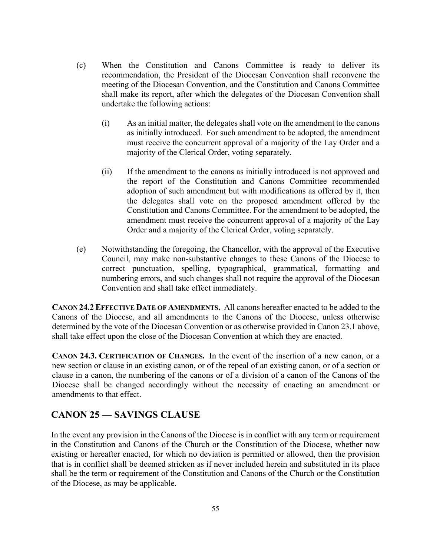- (c) When the Constitution and Canons Committee is ready to deliver its recommendation, the President of the Diocesan Convention shall reconvene the meeting of the Diocesan Convention, and the Constitution and Canons Committee shall make its report, after which the delegates of the Diocesan Convention shall undertake the following actions:
	- (i) As an initial matter, the delegates shall vote on the amendment to the canons as initially introduced. For such amendment to be adopted, the amendment must receive the concurrent approval of a majority of the Lay Order and a majority of the Clerical Order, voting separately.
	- (ii) If the amendment to the canons as initially introduced is not approved and the report of the Constitution and Canons Committee recommended adoption of such amendment but with modifications as offered by it, then the delegates shall vote on the proposed amendment offered by the Constitution and Canons Committee. For the amendment to be adopted, the amendment must receive the concurrent approval of a majority of the Lay Order and a majority of the Clerical Order, voting separately.
- (e) Notwithstanding the foregoing, the Chancellor, with the approval of the Executive Council, may make non-substantive changes to these Canons of the Diocese to correct punctuation, spelling, typographical, grammatical, formatting and numbering errors, and such changes shall not require the approval of the Diocesan Convention and shall take effect immediately.

**CANON 24.2 EFFECTIVE DATE OF AMENDMENTS.** All canons hereafter enacted to be added to the Canons of the Diocese, and all amendments to the Canons of the Diocese, unless otherwise determined by the vote of the Diocesan Convention or as otherwise provided in Canon 23.1 above, shall take effect upon the close of the Diocesan Convention at which they are enacted.

**CANON 24.3. CERTIFICATION OF CHANGES.** In the event of the insertion of a new canon, or a new section or clause in an existing canon, or of the repeal of an existing canon, or of a section or clause in a canon, the numbering of the canons or of a division of a canon of the Canons of the Diocese shall be changed accordingly without the necessity of enacting an amendment or amendments to that effect.

### **CANON 25 — SAVINGS CLAUSE**

In the event any provision in the Canons of the Diocese is in conflict with any term or requirement in the Constitution and Canons of the Church or the Constitution of the Diocese, whether now existing or hereafter enacted, for which no deviation is permitted or allowed, then the provision that is in conflict shall be deemed stricken as if never included herein and substituted in its place shall be the term or requirement of the Constitution and Canons of the Church or the Constitution of the Diocese, as may be applicable.